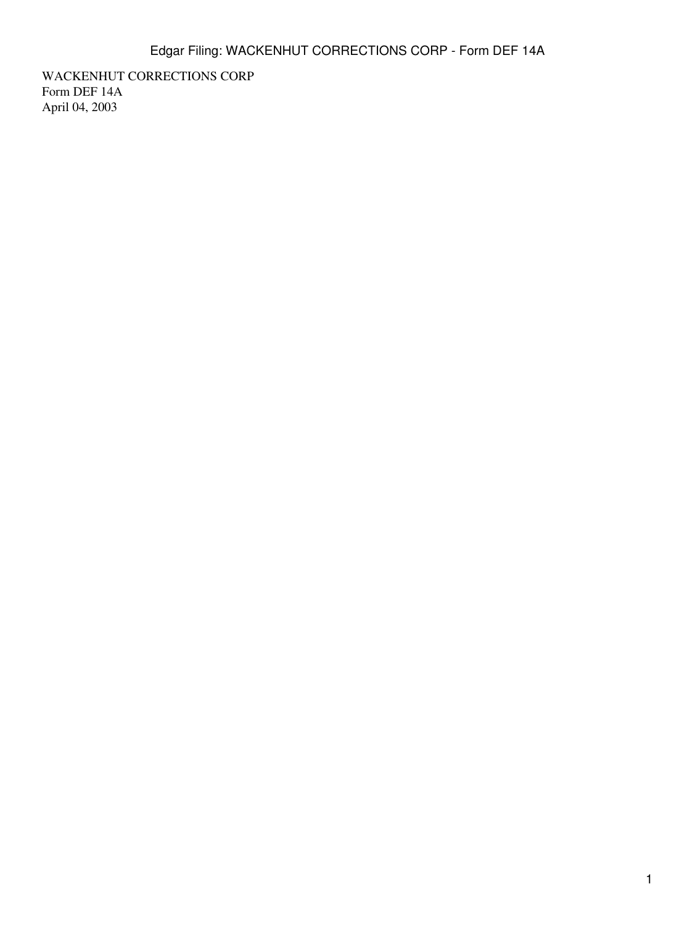WACKENHUT CORRECTIONS CORP Form DEF 14A April 04, 2003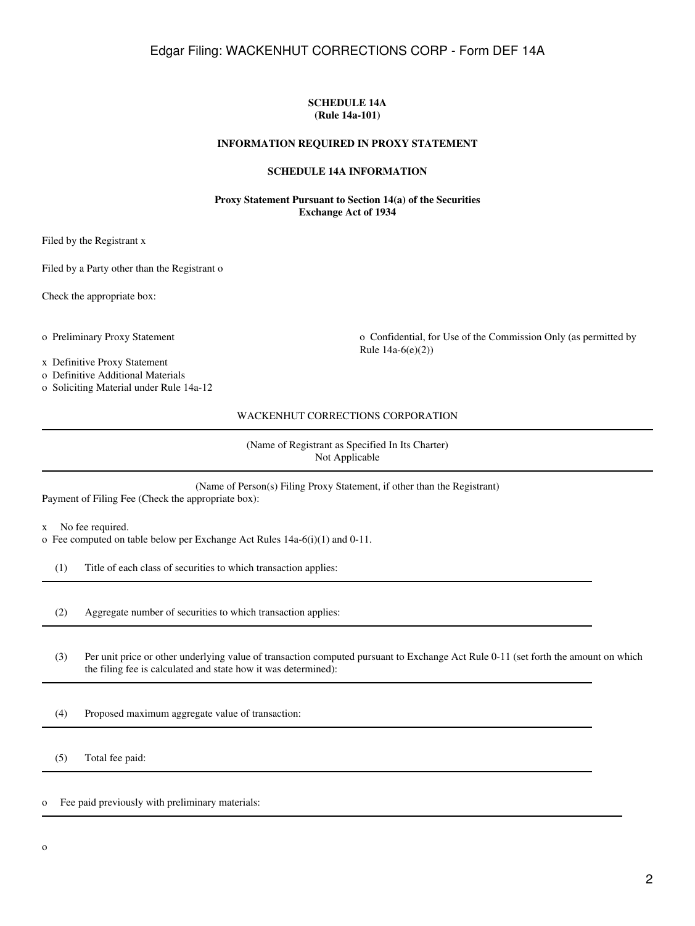#### **SCHEDULE 14A (Rule 14a-101)**

#### **INFORMATION REQUIRED IN PROXY STATEMENT**

#### **SCHEDULE 14A INFORMATION**

#### **Proxy Statement Pursuant to Section 14(a) of the Securities Exchange Act of 1934**

Filed by the Registrant x

Filed by a Party other than the Registrant o

Check the appropriate box:

o Preliminary Proxy Statement o Confidential, for Use of the Commission Only (as permitted by Rule 14a-6(e)(2))

x Definitive Proxy Statement

o Definitive Additional Materials

o Soliciting Material under Rule 14a-12

WACKENHUT CORRECTIONS CORPORATION

(Name of Registrant as Specified In Its Charter) Not Applicable

(Name of Person(s) Filing Proxy Statement, if other than the Registrant) Payment of Filing Fee (Check the appropriate box):

x No fee required.

o Fee computed on table below per Exchange Act Rules 14a-6(i)(1) and 0-11.

(1) Title of each class of securities to which transaction applies:

(2) Aggregate number of securities to which transaction applies:

 (3) Per unit price or other underlying value of transaction computed pursuant to Exchange Act Rule 0-11 (set forth the amount on which the filing fee is calculated and state how it was determined):

(4) Proposed maximum aggregate value of transaction:

(5) Total fee paid:

o Fee paid previously with preliminary materials: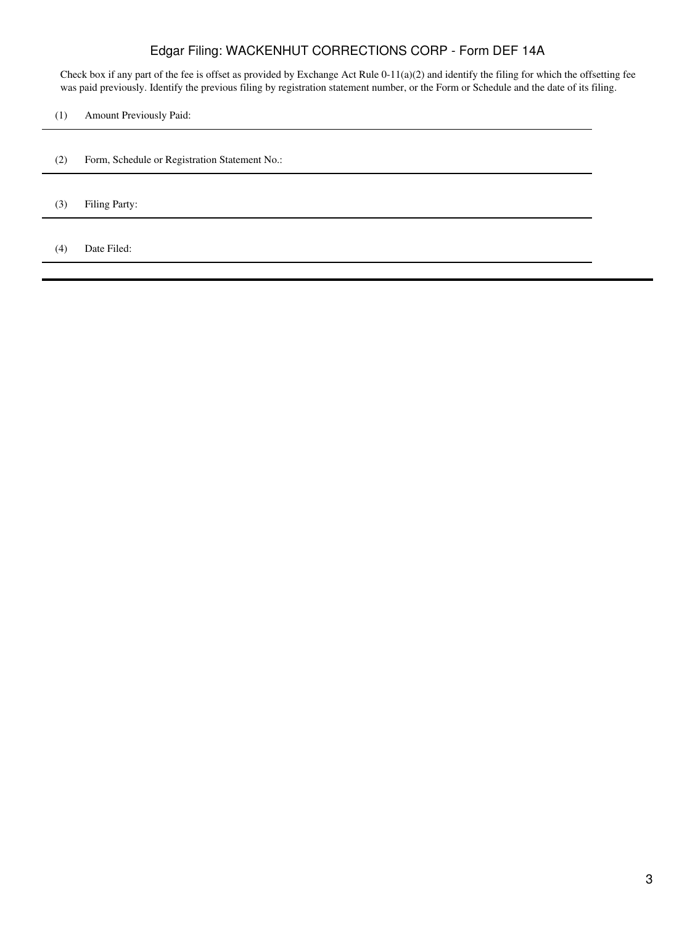Check box if any part of the fee is offset as provided by Exchange Act Rule 0-11(a)(2) and identify the filing for which the offsetting fee was paid previously. Identify the previous filing by registration statement number, or the Form or Schedule and the date of its filing.

(1) Amount Previously Paid:

- (2) Form, Schedule or Registration Statement No.:
- (3) Filing Party:

(4) Date Filed: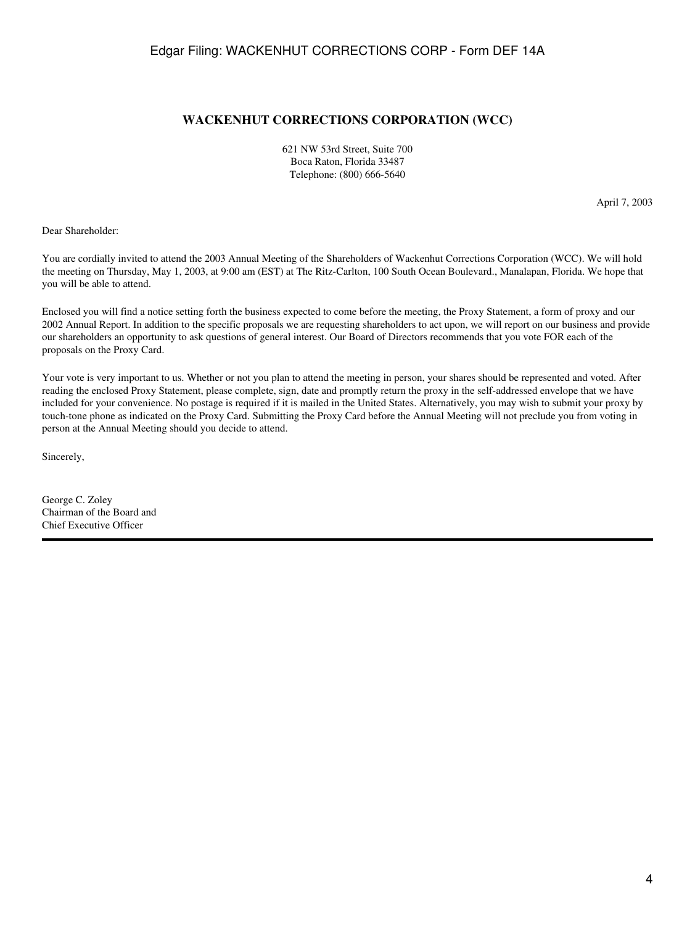### **WACKENHUT CORRECTIONS CORPORATION (WCC)**

621 NW 53rd Street, Suite 700 Boca Raton, Florida 33487 Telephone: (800) 666-5640

April 7, 2003

Dear Shareholder:

You are cordially invited to attend the 2003 Annual Meeting of the Shareholders of Wackenhut Corrections Corporation (WCC). We will hold the meeting on Thursday, May 1, 2003, at 9:00 am (EST) at The Ritz-Carlton, 100 South Ocean Boulevard., Manalapan, Florida. We hope that you will be able to attend.

Enclosed you will find a notice setting forth the business expected to come before the meeting, the Proxy Statement, a form of proxy and our 2002 Annual Report. In addition to the specific proposals we are requesting shareholders to act upon, we will report on our business and provide our shareholders an opportunity to ask questions of general interest. Our Board of Directors recommends that you vote FOR each of the proposals on the Proxy Card.

Your vote is very important to us. Whether or not you plan to attend the meeting in person, your shares should be represented and voted. After reading the enclosed Proxy Statement, please complete, sign, date and promptly return the proxy in the self-addressed envelope that we have included for your convenience. No postage is required if it is mailed in the United States. Alternatively, you may wish to submit your proxy by touch-tone phone as indicated on the Proxy Card. Submitting the Proxy Card before the Annual Meeting will not preclude you from voting in person at the Annual Meeting should you decide to attend.

Sincerely,

George C. Zoley Chairman of the Board and Chief Executive Officer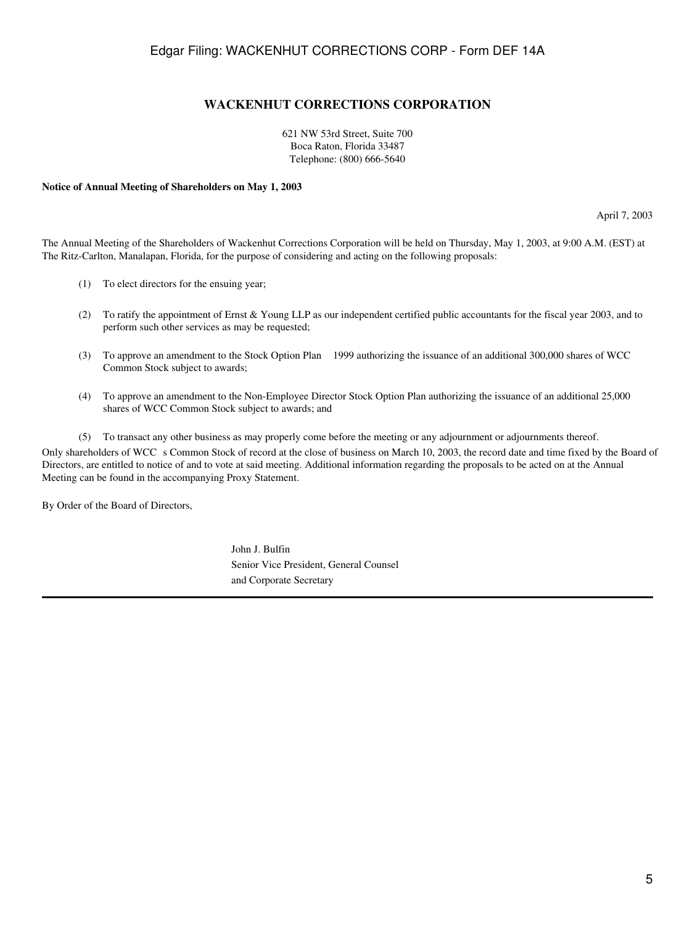## **WACKENHUT CORRECTIONS CORPORATION**

621 NW 53rd Street, Suite 700 Boca Raton, Florida 33487 Telephone: (800) 666-5640

#### **Notice of Annual Meeting of Shareholders on May 1, 2003**

April 7, 2003

The Annual Meeting of the Shareholders of Wackenhut Corrections Corporation will be held on Thursday, May 1, 2003, at 9:00 A.M. (EST) at The Ritz-Carlton, Manalapan, Florida, for the purpose of considering and acting on the following proposals:

- (1) To elect directors for the ensuing year;
- (2) To ratify the appointment of Ernst & Young LLP as our independent certified public accountants for the fiscal year 2003, and to perform such other services as may be requested;
- (3) To approve an amendment to the Stock Option Plan 1999 authorizing the issuance of an additional 300,000 shares of WCC Common Stock subject to awards;
- (4) To approve an amendment to the Non-Employee Director Stock Option Plan authorizing the issuance of an additional 25,000 shares of WCC Common Stock subject to awards; and
- (5) To transact any other business as may properly come before the meeting or any adjournment or adjournments thereof.

Only shareholders of WCC s Common Stock of record at the close of business on March 10, 2003, the record date and time fixed by the Board of Directors, are entitled to notice of and to vote at said meeting. Additional information regarding the proposals to be acted on at the Annual Meeting can be found in the accompanying Proxy Statement.

By Order of the Board of Directors,

John J. Bulfin Senior Vice President, General Counsel and Corporate Secretary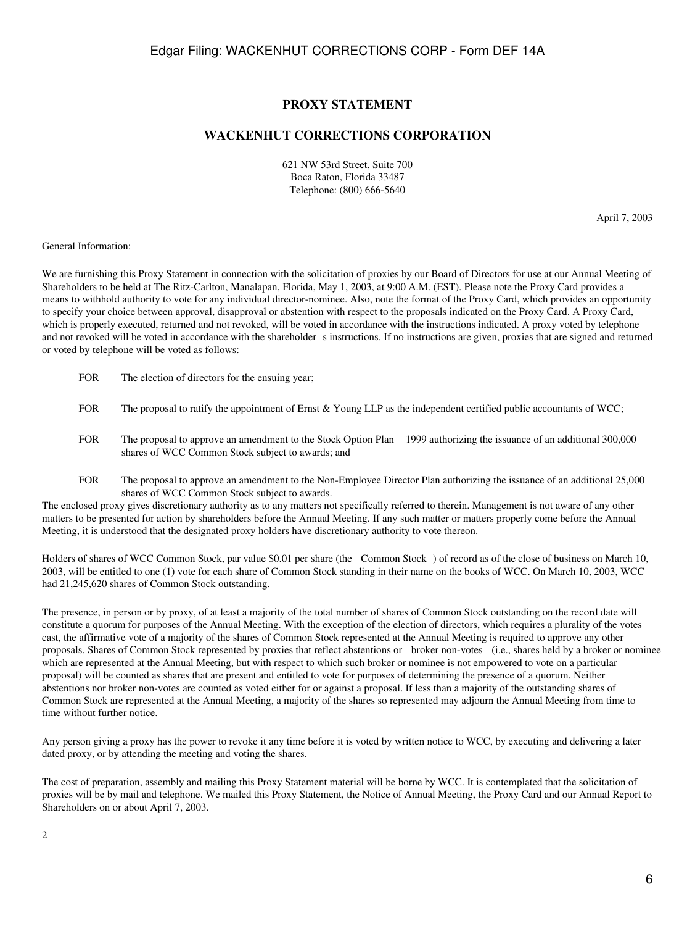### **PROXY STATEMENT**

## **WACKENHUT CORRECTIONS CORPORATION**

621 NW 53rd Street, Suite 700 Boca Raton, Florida 33487 Telephone: (800) 666-5640

April 7, 2003

#### General Information:

We are furnishing this Proxy Statement in connection with the solicitation of proxies by our Board of Directors for use at our Annual Meeting of Shareholders to be held at The Ritz-Carlton, Manalapan, Florida, May 1, 2003, at 9:00 A.M. (EST). Please note the Proxy Card provides a means to withhold authority to vote for any individual director-nominee. Also, note the format of the Proxy Card, which provides an opportunity to specify your choice between approval, disapproval or abstention with respect to the proposals indicated on the Proxy Card. A Proxy Card, which is properly executed, returned and not revoked, will be voted in accordance with the instructions indicated. A proxy voted by telephone and not revoked will be voted in accordance with the shareholder s instructions. If no instructions are given, proxies that are signed and returned or voted by telephone will be voted as follows:

- FOR The election of directors for the ensuing year;
- FOR The proposal to ratify the appointment of Ernst & Young LLP as the independent certified public accountants of WCC;
- FOR The proposal to approve an amendment to the Stock Option Plan 1999 authorizing the issuance of an additional 300,000 shares of WCC Common Stock subject to awards; and
- FOR The proposal to approve an amendment to the Non-Employee Director Plan authorizing the issuance of an additional 25,000 shares of WCC Common Stock subject to awards.

The enclosed proxy gives discretionary authority as to any matters not specifically referred to therein. Management is not aware of any other matters to be presented for action by shareholders before the Annual Meeting. If any such matter or matters properly come before the Annual Meeting, it is understood that the designated proxy holders have discretionary authority to vote thereon.

Holders of shares of WCC Common Stock, par value \$0.01 per share (the Common Stock) of record as of the close of business on March 10, 2003, will be entitled to one (1) vote for each share of Common Stock standing in their name on the books of WCC. On March 10, 2003, WCC had 21,245,620 shares of Common Stock outstanding.

The presence, in person or by proxy, of at least a majority of the total number of shares of Common Stock outstanding on the record date will constitute a quorum for purposes of the Annual Meeting. With the exception of the election of directors, which requires a plurality of the votes cast, the affirmative vote of a majority of the shares of Common Stock represented at the Annual Meeting is required to approve any other proposals. Shares of Common Stock represented by proxies that reflect abstentions or broker non-votes (i.e., shares held by a broker or nominee which are represented at the Annual Meeting, but with respect to which such broker or nominee is not empowered to vote on a particular proposal) will be counted as shares that are present and entitled to vote for purposes of determining the presence of a quorum. Neither abstentions nor broker non-votes are counted as voted either for or against a proposal. If less than a majority of the outstanding shares of Common Stock are represented at the Annual Meeting, a majority of the shares so represented may adjourn the Annual Meeting from time to time without further notice.

Any person giving a proxy has the power to revoke it any time before it is voted by written notice to WCC, by executing and delivering a later dated proxy, or by attending the meeting and voting the shares.

The cost of preparation, assembly and mailing this Proxy Statement material will be borne by WCC. It is contemplated that the solicitation of proxies will be by mail and telephone. We mailed this Proxy Statement, the Notice of Annual Meeting, the Proxy Card and our Annual Report to Shareholders on or about April 7, 2003.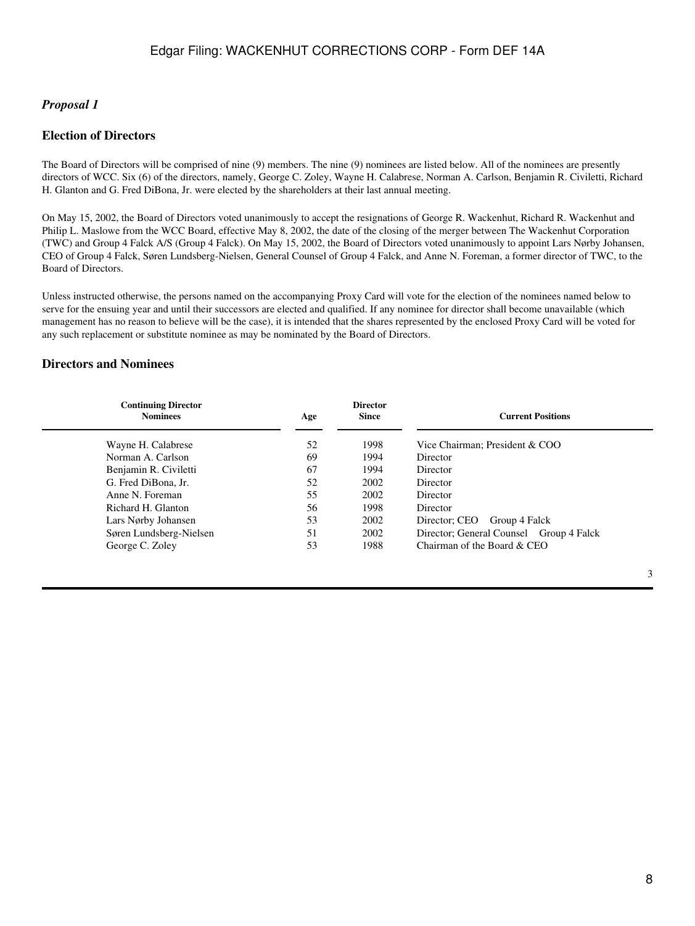### *Proposal 1*

### **Election of Directors**

The Board of Directors will be comprised of nine (9) members. The nine (9) nominees are listed below. All of the nominees are presently directors of WCC. Six (6) of the directors, namely, George C. Zoley, Wayne H. Calabrese, Norman A. Carlson, Benjamin R. Civiletti, Richard H. Glanton and G. Fred DiBona, Jr. were elected by the shareholders at their last annual meeting.

On May 15, 2002, the Board of Directors voted unanimously to accept the resignations of George R. Wackenhut, Richard R. Wackenhut and Philip L. Maslowe from the WCC Board, effective May 8, 2002, the date of the closing of the merger between The Wackenhut Corporation (TWC) and Group 4 Falck A/S (Group 4 Falck). On May 15, 2002, the Board of Directors voted unanimously to appoint Lars Nørby Johansen, CEO of Group 4 Falck, Søren Lundsberg-Nielsen, General Counsel of Group 4 Falck, and Anne N. Foreman, a former director of TWC, to the Board of Directors.

Unless instructed otherwise, the persons named on the accompanying Proxy Card will vote for the election of the nominees named below to serve for the ensuing year and until their successors are elected and qualified. If any nominee for director shall become unavailable (which management has no reason to believe will be the case), it is intended that the shares represented by the enclosed Proxy Card will be voted for any such replacement or substitute nominee as may be nominated by the Board of Directors.

## **Directors and Nominees**

| <b>Continuing Director</b><br><b>Nominees</b> | Age | <b>Director</b><br><b>Since</b> | <b>Current Positions</b>                |
|-----------------------------------------------|-----|---------------------------------|-----------------------------------------|
| Wayne H. Calabrese                            | 52  | 1998                            | Vice Chairman; President & COO          |
| Norman A. Carlson                             | 69  | 1994                            | Director                                |
| Benjamin R. Civiletti                         | 67  | 1994                            | Director                                |
| G. Fred DiBona, Jr.                           | 52  | 2002                            | Director                                |
| Anne N. Foreman                               | 55  | 2002                            | Director                                |
| Richard H. Glanton                            | 56  | 1998                            | Director                                |
| Lars Nørby Johansen                           | 53  | 2002                            | Group 4 Falck<br>Director; CEO          |
| Søren Lundsberg-Nielsen                       | 51  | 2002                            | Director; General Counsel Group 4 Falck |
| George C. Zoley                               | 53  | 1988                            | Chairman of the Board & CEO             |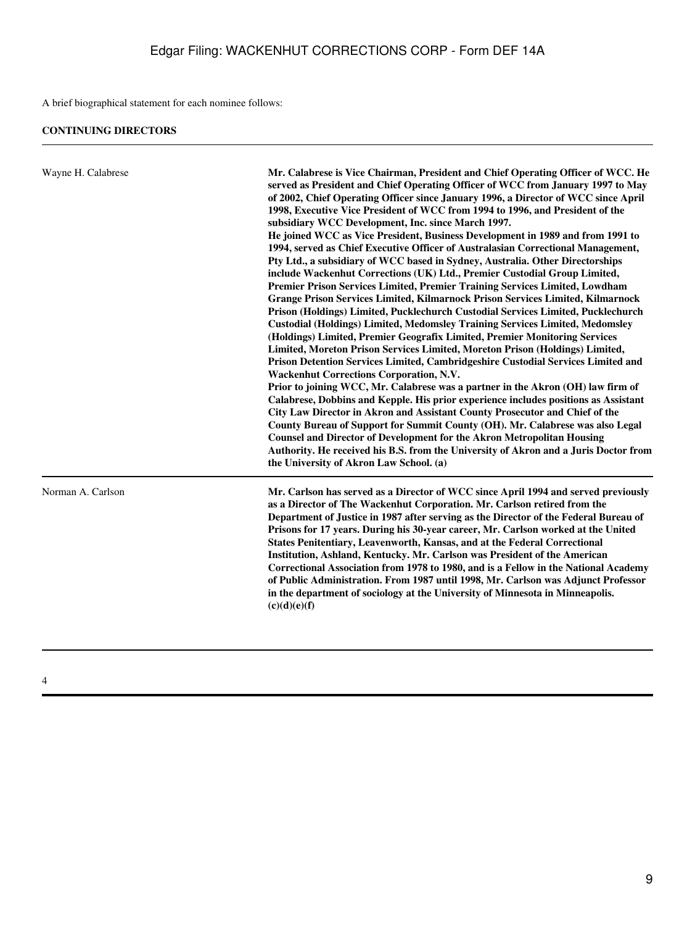A brief biographical statement for each nominee follows:

| Wayne H. Calabrese | Mr. Calabrese is Vice Chairman, President and Chief Operating Officer of WCC. He<br>served as President and Chief Operating Officer of WCC from January 1997 to May<br>of 2002, Chief Operating Officer since January 1996, a Director of WCC since April<br>1998, Executive Vice President of WCC from 1994 to 1996, and President of the<br>subsidiary WCC Development, Inc. since March 1997.<br>He joined WCC as Vice President, Business Development in 1989 and from 1991 to<br>1994, served as Chief Executive Officer of Australasian Correctional Management,<br>Pty Ltd., a subsidiary of WCC based in Sydney, Australia. Other Directorships<br>include Wackenhut Corrections (UK) Ltd., Premier Custodial Group Limited,<br>Premier Prison Services Limited, Premier Training Services Limited, Lowdham<br>Grange Prison Services Limited, Kilmarnock Prison Services Limited, Kilmarnock<br>Prison (Holdings) Limited, Pucklechurch Custodial Services Limited, Pucklechurch<br><b>Custodial (Holdings) Limited, Medomsley Training Services Limited, Medomsley</b><br>(Holdings) Limited, Premier Geografix Limited, Premier Monitoring Services<br>Limited, Moreton Prison Services Limited, Moreton Prison (Holdings) Limited,<br>Prison Detention Services Limited, Cambridgeshire Custodial Services Limited and<br><b>Wackenhut Corrections Corporation, N.V.</b><br>Prior to joining WCC, Mr. Calabrese was a partner in the Akron (OH) law firm of<br>Calabrese, Dobbins and Kepple. His prior experience includes positions as Assistant<br>City Law Director in Akron and Assistant County Prosecutor and Chief of the<br>County Bureau of Support for Summit County (OH). Mr. Calabrese was also Legal<br><b>Counsel and Director of Development for the Akron Metropolitan Housing</b><br>Authority. He received his B.S. from the University of Akron and a Juris Doctor from<br>the University of Akron Law School. (a) |
|--------------------|----------------------------------------------------------------------------------------------------------------------------------------------------------------------------------------------------------------------------------------------------------------------------------------------------------------------------------------------------------------------------------------------------------------------------------------------------------------------------------------------------------------------------------------------------------------------------------------------------------------------------------------------------------------------------------------------------------------------------------------------------------------------------------------------------------------------------------------------------------------------------------------------------------------------------------------------------------------------------------------------------------------------------------------------------------------------------------------------------------------------------------------------------------------------------------------------------------------------------------------------------------------------------------------------------------------------------------------------------------------------------------------------------------------------------------------------------------------------------------------------------------------------------------------------------------------------------------------------------------------------------------------------------------------------------------------------------------------------------------------------------------------------------------------------------------------------------------------------------------------------------------------------------------------------------------------------------|
| Norman A. Carlson  | Mr. Carlson has served as a Director of WCC since April 1994 and served previously<br>as a Director of The Wackenhut Corporation. Mr. Carlson retired from the<br>Department of Justice in 1987 after serving as the Director of the Federal Bureau of<br>Prisons for 17 years. During his 30-year career, Mr. Carlson worked at the United<br>States Penitentiary, Leavenworth, Kansas, and at the Federal Correctional<br>Institution, Ashland, Kentucky. Mr. Carlson was President of the American<br>Correctional Association from 1978 to 1980, and is a Fellow in the National Academy<br>of Public Administration. From 1987 until 1998, Mr. Carlson was Adjunct Professor<br>in the department of sociology at the University of Minnesota in Minneapolis.<br>(c)(d)(e)(f)                                                                                                                                                                                                                                                                                                                                                                                                                                                                                                                                                                                                                                                                                                                                                                                                                                                                                                                                                                                                                                                                                                                                                                 |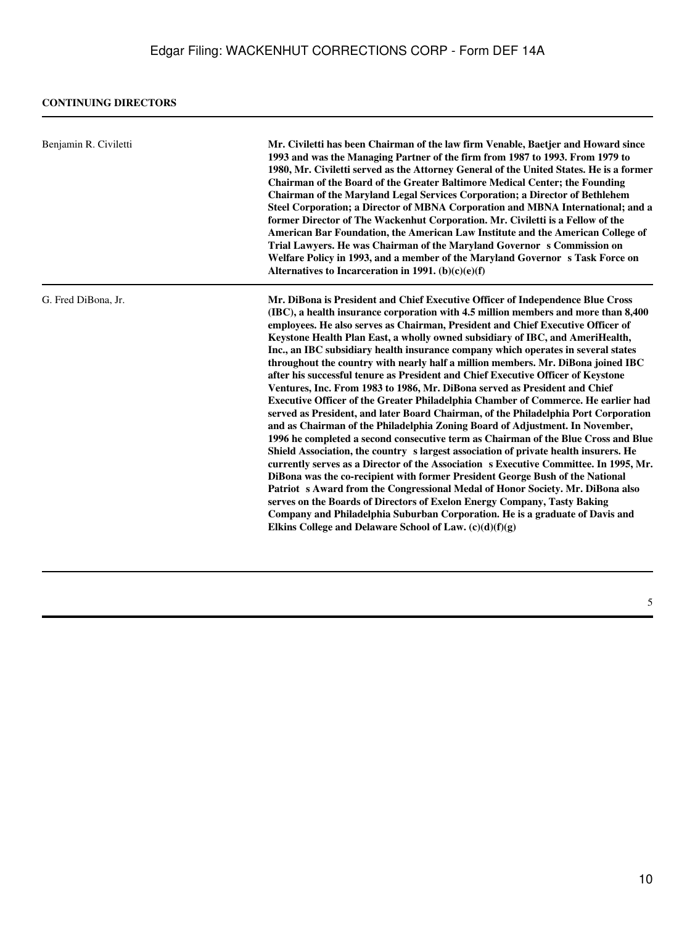| Benjamin R. Civiletti | Mr. Civiletti has been Chairman of the law firm Venable, Baetjer and Howard since<br>1993 and was the Managing Partner of the firm from 1987 to 1993. From 1979 to<br>1980, Mr. Civiletti served as the Attorney General of the United States. He is a former<br><b>Chairman of the Board of the Greater Baltimore Medical Center; the Founding</b><br><b>Chairman of the Maryland Legal Services Corporation; a Director of Bethlehem</b><br>Steel Corporation; a Director of MBNA Corporation and MBNA International; and a<br>former Director of The Wackenhut Corporation. Mr. Civiletti is a Fellow of the<br>American Bar Foundation, the American Law Institute and the American College of<br>Trial Lawyers. He was Chairman of the Maryland Governor s Commission on<br>Welfare Policy in 1993, and a member of the Maryland Governor s Task Force on<br>Alternatives to Incarceration in 1991. $(b)(c)(e)(f)$                                                                                                                                                                                                                                                                                                                                                                                                                                                                                                                                                                                                                                                                                                   |
|-----------------------|---------------------------------------------------------------------------------------------------------------------------------------------------------------------------------------------------------------------------------------------------------------------------------------------------------------------------------------------------------------------------------------------------------------------------------------------------------------------------------------------------------------------------------------------------------------------------------------------------------------------------------------------------------------------------------------------------------------------------------------------------------------------------------------------------------------------------------------------------------------------------------------------------------------------------------------------------------------------------------------------------------------------------------------------------------------------------------------------------------------------------------------------------------------------------------------------------------------------------------------------------------------------------------------------------------------------------------------------------------------------------------------------------------------------------------------------------------------------------------------------------------------------------------------------------------------------------------------------------------------------------|
| G. Fred DiBona, Jr.   | Mr. DiBona is President and Chief Executive Officer of Independence Blue Cross<br>(IBC), a health insurance corporation with 4.5 million members and more than 8,400<br>employees. He also serves as Chairman, President and Chief Executive Officer of<br>Keystone Health Plan East, a wholly owned subsidiary of IBC, and AmeriHealth,<br>Inc., an IBC subsidiary health insurance company which operates in several states<br>throughout the country with nearly half a million members. Mr. DiBona joined IBC<br>after his successful tenure as President and Chief Executive Officer of Keystone<br>Ventures, Inc. From 1983 to 1986, Mr. DiBona served as President and Chief<br><b>Executive Officer of the Greater Philadelphia Chamber of Commerce. He earlier had</b><br>served as President, and later Board Chairman, of the Philadelphia Port Corporation<br>and as Chairman of the Philadelphia Zoning Board of Adjustment. In November,<br>1996 he completed a second consecutive term as Chairman of the Blue Cross and Blue<br>Shield Association, the country s largest association of private health insurers. He<br>currently serves as a Director of the Association s Executive Committee. In 1995, Mr.<br>DiBona was the co-recipient with former President George Bush of the National<br>Patriot s Award from the Congressional Medal of Honor Society. Mr. DiBona also<br>serves on the Boards of Directors of Exelon Energy Company, Tasty Baking<br>Company and Philadelphia Suburban Corporation. He is a graduate of Davis and<br>Elkins College and Delaware School of Law. $(c)(d)(f)(g)$ |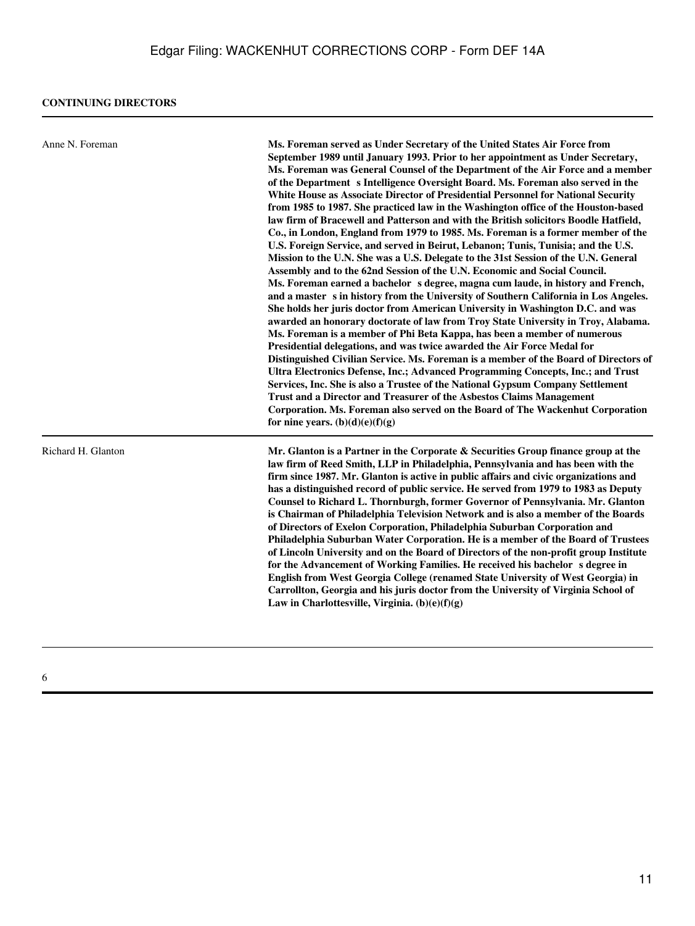| Anne N. Foreman    | Ms. Foreman served as Under Secretary of the United States Air Force from<br>September 1989 until January 1993. Prior to her appointment as Under Secretary,<br>Ms. Foreman was General Counsel of the Department of the Air Force and a member<br>of the Department s Intelligence Oversight Board. Ms. Foreman also served in the<br>White House as Associate Director of Presidential Personnel for National Security<br>from 1985 to 1987. She practiced law in the Washington office of the Houston-based<br>law firm of Bracewell and Patterson and with the British solicitors Boodle Hatfield,<br>Co., in London, England from 1979 to 1985. Ms. Foreman is a former member of the<br>U.S. Foreign Service, and served in Beirut, Lebanon; Tunis, Tunisia; and the U.S.<br>Mission to the U.N. She was a U.S. Delegate to the 31st Session of the U.N. General<br>Assembly and to the 62nd Session of the U.N. Economic and Social Council.<br>Ms. Foreman earned a bachelor s degree, magna cum laude, in history and French,<br>and a master s in history from the University of Southern California in Los Angeles.<br>She holds her juris doctor from American University in Washington D.C. and was<br>awarded an honorary doctorate of law from Troy State University in Troy, Alabama.<br>Ms. Foreman is a member of Phi Beta Kappa, has been a member of numerous<br>Presidential delegations, and was twice awarded the Air Force Medal for<br>Distinguished Civilian Service. Ms. Foreman is a member of the Board of Directors of<br>Ultra Electronics Defense, Inc.; Advanced Programming Concepts, Inc.; and Trust<br>Services, Inc. She is also a Trustee of the National Gypsum Company Settlement<br>Trust and a Director and Treasurer of the Asbestos Claims Management<br>Corporation. Ms. Foreman also served on the Board of The Wackenhut Corporation<br>for nine years. $(b)(d)(e)(f)(g)$ |
|--------------------|--------------------------------------------------------------------------------------------------------------------------------------------------------------------------------------------------------------------------------------------------------------------------------------------------------------------------------------------------------------------------------------------------------------------------------------------------------------------------------------------------------------------------------------------------------------------------------------------------------------------------------------------------------------------------------------------------------------------------------------------------------------------------------------------------------------------------------------------------------------------------------------------------------------------------------------------------------------------------------------------------------------------------------------------------------------------------------------------------------------------------------------------------------------------------------------------------------------------------------------------------------------------------------------------------------------------------------------------------------------------------------------------------------------------------------------------------------------------------------------------------------------------------------------------------------------------------------------------------------------------------------------------------------------------------------------------------------------------------------------------------------------------------------------------------------------------------------------------------------------------------------------------------------------------------|
| Richard H. Glanton | Mr. Glanton is a Partner in the Corporate & Securities Group finance group at the<br>law firm of Reed Smith, LLP in Philadelphia, Pennsylvania and has been with the<br>firm since 1987. Mr. Glanton is active in public affairs and civic organizations and<br>has a distinguished record of public service. He served from 1979 to 1983 as Deputy<br>Counsel to Richard L. Thornburgh, former Governor of Pennsylvania. Mr. Glanton<br>is Chairman of Philadelphia Television Network and is also a member of the Boards<br>of Directors of Exelon Corporation, Philadelphia Suburban Corporation and<br>Philadelphia Suburban Water Corporation. He is a member of the Board of Trustees<br>of Lincoln University and on the Board of Directors of the non-profit group Institute<br>for the Advancement of Working Families. He received his bachelor s degree in<br>English from West Georgia College (renamed State University of West Georgia) in<br>Carrollton, Georgia and his juris doctor from the University of Virginia School of<br>Law in Charlottesville, Virginia. $(b)(e)(f)(g)$                                                                                                                                                                                                                                                                                                                                                                                                                                                                                                                                                                                                                                                                                                                                                                                                                       |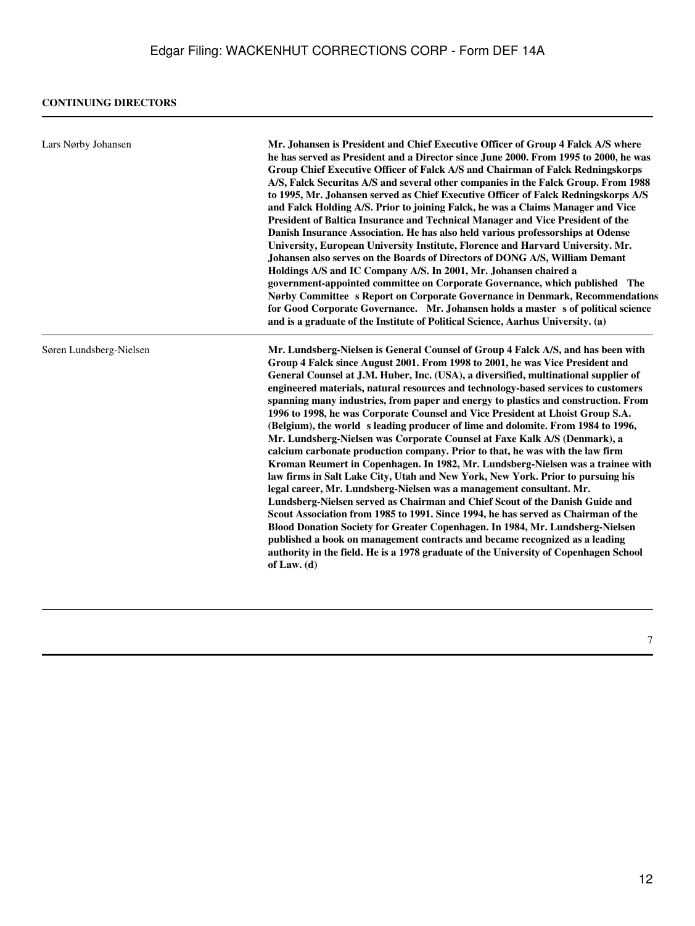| Lars Nørby Johansen     | Mr. Johansen is President and Chief Executive Officer of Group 4 Falck A/S where<br>he has served as President and a Director since June 2000. From 1995 to 2000, he was<br>Group Chief Executive Officer of Falck A/S and Chairman of Falck Redningskorps<br>A/S, Falck Securitas A/S and several other companies in the Falck Group. From 1988<br>to 1995, Mr. Johansen served as Chief Executive Officer of Falck Redningskorps A/S<br>and Falck Holding A/S. Prior to joining Falck, he was a Claims Manager and Vice<br>President of Baltica Insurance and Technical Manager and Vice President of the<br>Danish Insurance Association. He has also held various professorships at Odense<br>University, European University Institute, Florence and Harvard University. Mr.<br>Johansen also serves on the Boards of Directors of DONG A/S, William Demant<br>Holdings A/S and IC Company A/S. In 2001, Mr. Johansen chaired a<br>government-appointed committee on Corporate Governance, which published The<br>Nørby Committee s Report on Corporate Governance in Denmark, Recommendations<br>for Good Corporate Governance. Mr. Johansen holds a master s of political science<br>and is a graduate of the Institute of Political Science, Aarhus University. (a)                                                                                                                                                                                         |
|-------------------------|---------------------------------------------------------------------------------------------------------------------------------------------------------------------------------------------------------------------------------------------------------------------------------------------------------------------------------------------------------------------------------------------------------------------------------------------------------------------------------------------------------------------------------------------------------------------------------------------------------------------------------------------------------------------------------------------------------------------------------------------------------------------------------------------------------------------------------------------------------------------------------------------------------------------------------------------------------------------------------------------------------------------------------------------------------------------------------------------------------------------------------------------------------------------------------------------------------------------------------------------------------------------------------------------------------------------------------------------------------------------------------------------------------------------------------------------------------------------|
| Søren Lundsberg-Nielsen | Mr. Lundsberg-Nielsen is General Counsel of Group 4 Falck A/S, and has been with<br>Group 4 Falck since August 2001. From 1998 to 2001, he was Vice President and<br>General Counsel at J.M. Huber, Inc. (USA), a diversified, multinational supplier of<br>engineered materials, natural resources and technology-based services to customers<br>spanning many industries, from paper and energy to plastics and construction. From<br>1996 to 1998, he was Corporate Counsel and Vice President at Lhoist Group S.A.<br>(Belgium), the world sleading producer of lime and dolomite. From 1984 to 1996,<br>Mr. Lundsberg-Nielsen was Corporate Counsel at Faxe Kalk A/S (Denmark), a<br>calcium carbonate production company. Prior to that, he was with the law firm<br>Kroman Reumert in Copenhagen. In 1982, Mr. Lundsberg-Nielsen was a trainee with<br>law firms in Salt Lake City, Utah and New York, New York. Prior to pursuing his<br>legal career, Mr. Lundsberg-Nielsen was a management consultant. Mr.<br>Lundsberg-Nielsen served as Chairman and Chief Scout of the Danish Guide and<br>Scout Association from 1985 to 1991. Since 1994, he has served as Chairman of the<br>Blood Donation Society for Greater Copenhagen. In 1984, Mr. Lundsberg-Nielsen<br>published a book on management contracts and became recognized as a leading<br>authority in the field. He is a 1978 graduate of the University of Copenhagen School<br>of Law. $(d)$ |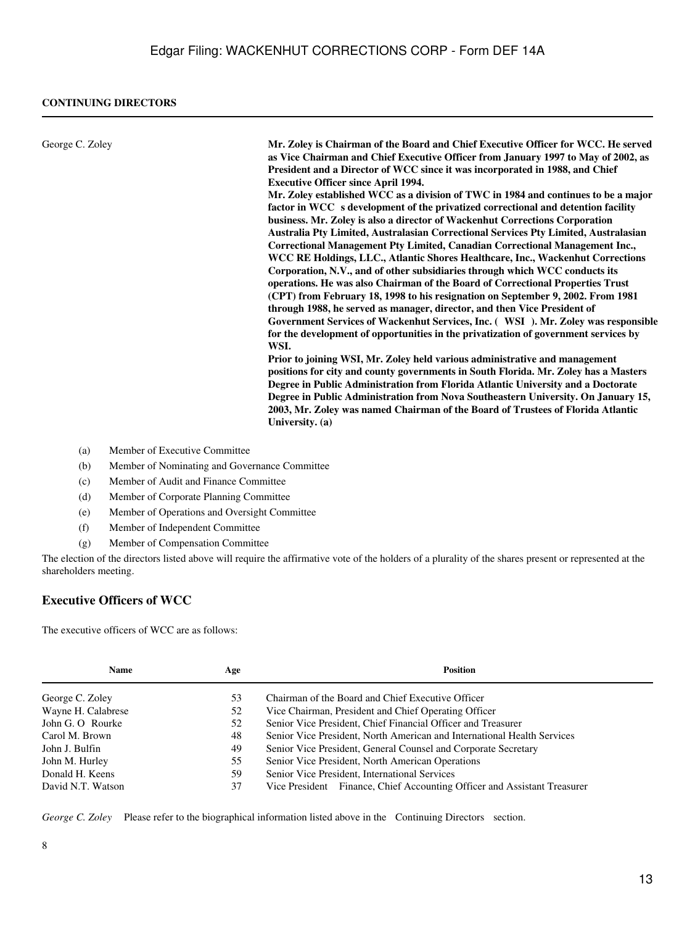### **CONTINUING DIRECTORS**

| George C. Zoley<br>President and a Director of WCC since it was incorporated in 1988, and Chief<br><b>Executive Officer since April 1994.</b><br>factor in WCC s development of the privatized correctional and detention facility<br>business. Mr. Zoley is also a director of Wackenhut Corrections Corporation<br>Corporation, N.V., and of other subsidiaries through which WCC conducts its<br>operations. He was also Chairman of the Board of Correctional Properties Trust<br>through 1988, he served as manager, director, and then Vice President of<br>WSI.<br>Prior to joining WSI, Mr. Zoley held various administrative and management |                                                                                                                                                                                                                                                                                                                                                                                                                                                                                                                                                                                                                                                                                                                                                                                                                                                                                                                                                                                                                                                                                                                                                          |
|------------------------------------------------------------------------------------------------------------------------------------------------------------------------------------------------------------------------------------------------------------------------------------------------------------------------------------------------------------------------------------------------------------------------------------------------------------------------------------------------------------------------------------------------------------------------------------------------------------------------------------------------------|----------------------------------------------------------------------------------------------------------------------------------------------------------------------------------------------------------------------------------------------------------------------------------------------------------------------------------------------------------------------------------------------------------------------------------------------------------------------------------------------------------------------------------------------------------------------------------------------------------------------------------------------------------------------------------------------------------------------------------------------------------------------------------------------------------------------------------------------------------------------------------------------------------------------------------------------------------------------------------------------------------------------------------------------------------------------------------------------------------------------------------------------------------|
|                                                                                                                                                                                                                                                                                                                                                                                                                                                                                                                                                                                                                                                      | Mr. Zoley is Chairman of the Board and Chief Executive Officer for WCC. He served<br>as Vice Chairman and Chief Executive Officer from January 1997 to May of 2002, as<br>Mr. Zoley established WCC as a division of TWC in 1984 and continues to be a major<br>Australia Pty Limited, Australasian Correctional Services Pty Limited, Australasian<br>Correctional Management Pty Limited, Canadian Correctional Management Inc.,<br>WCC RE Holdings, LLC., Atlantic Shores Healthcare, Inc., Wackenhut Corrections<br>(CPT) from February 18, 1998 to his resignation on September 9, 2002. From 1981<br>Government Services of Wackenhut Services, Inc. (WSI). Mr. Zoley was responsible<br>for the development of opportunities in the privatization of government services by<br>positions for city and county governments in South Florida. Mr. Zoley has a Masters<br>Degree in Public Administration from Florida Atlantic University and a Doctorate<br>Degree in Public Administration from Nova Southeastern University. On January 15,<br>2003, Mr. Zoley was named Chairman of the Board of Trustees of Florida Atlantic<br>University. (a) |

- (a) Member of Executive Committee
- (b) Member of Nominating and Governance Committee
- (c) Member of Audit and Finance Committee
- (d) Member of Corporate Planning Committee
- (e) Member of Operations and Oversight Committee
- (f) Member of Independent Committee
- (g) Member of Compensation Committee

The election of the directors listed above will require the affirmative vote of the holders of a plurality of the shares present or represented at the shareholders meeting.

## **Executive Officers of WCC**

The executive officers of WCC are as follows:

| <b>Name</b>        | Age | <b>Position</b>                                                          |  |  |
|--------------------|-----|--------------------------------------------------------------------------|--|--|
| George C. Zoley    | 53  | Chairman of the Board and Chief Executive Officer                        |  |  |
| Wayne H. Calabrese | 52  | Vice Chairman, President and Chief Operating Officer                     |  |  |
| John G. O Rourke   | 52  | Senior Vice President, Chief Financial Officer and Treasurer             |  |  |
| Carol M. Brown     | 48  | Senior Vice President, North American and International Health Services  |  |  |
| John J. Bulfin     | 49  | Senior Vice President, General Counsel and Corporate Secretary           |  |  |
| John M. Hurley     | 55  | Senior Vice President, North American Operations                         |  |  |
| Donald H. Keens    | 59  | Senior Vice President, International Services                            |  |  |
| David N.T. Watson  | 37  | Vice President Finance, Chief Accounting Officer and Assistant Treasurer |  |  |

*George C. Zoley*  Please refer to the biographical information listed above in the Continuing Directors section.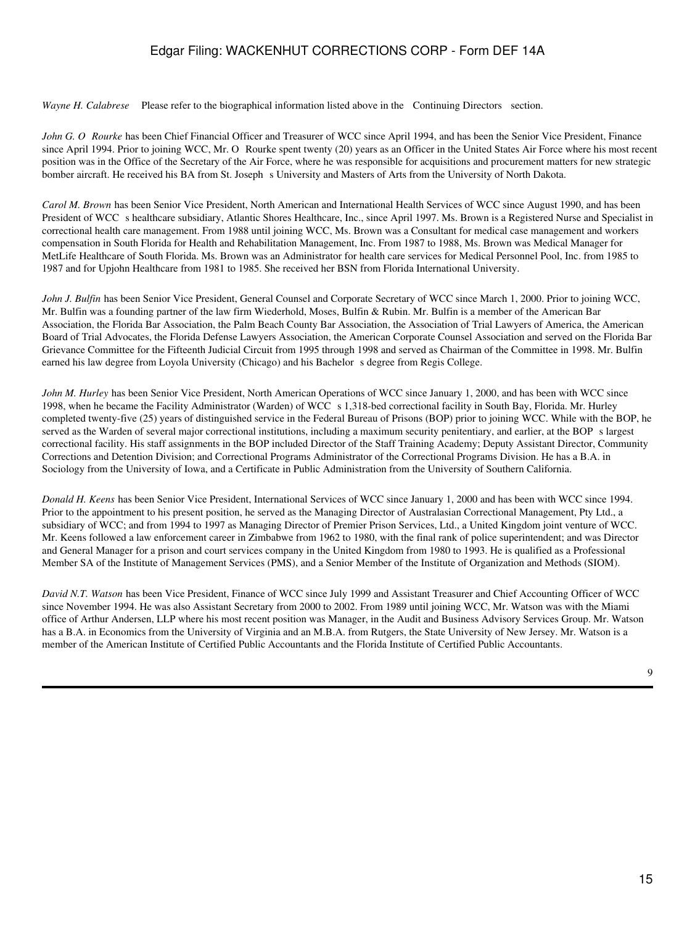*Wayne H. Calabrese* Please refer to the biographical information listed above in the Continuing Directors section.

*John G. O Rourke* has been Chief Financial Officer and Treasurer of WCC since April 1994, and has been the Senior Vice President, Finance since April 1994. Prior to joining WCC, Mr. O Rourke spent twenty (20) years as an Officer in the United States Air Force where his most recent position was in the Office of the Secretary of the Air Force, where he was responsible for acquisitions and procurement matters for new strategic bomber aircraft. He received his BA from St. Josephs University and Masters of Arts from the University of North Dakota.

*Carol M. Brown* has been Senior Vice President, North American and International Health Services of WCC since August 1990, and has been President of WCC s healthcare subsidiary, Atlantic Shores Healthcare, Inc., since April 1997. Ms. Brown is a Registered Nurse and Specialist in correctional health care management. From 1988 until joining WCC, Ms. Brown was a Consultant for medical case management and workers compensation in South Florida for Health and Rehabilitation Management, Inc. From 1987 to 1988, Ms. Brown was Medical Manager for MetLife Healthcare of South Florida. Ms. Brown was an Administrator for health care services for Medical Personnel Pool, Inc. from 1985 to 1987 and for Upjohn Healthcare from 1981 to 1985. She received her BSN from Florida International University.

*John J. Bulfin* has been Senior Vice President, General Counsel and Corporate Secretary of WCC since March 1, 2000. Prior to joining WCC, Mr. Bulfin was a founding partner of the law firm Wiederhold, Moses, Bulfin & Rubin. Mr. Bulfin is a member of the American Bar Association, the Florida Bar Association, the Palm Beach County Bar Association, the Association of Trial Lawyers of America, the American Board of Trial Advocates, the Florida Defense Lawyers Association, the American Corporate Counsel Association and served on the Florida Bar Grievance Committee for the Fifteenth Judicial Circuit from 1995 through 1998 and served as Chairman of the Committee in 1998. Mr. Bulfin earned his law degree from Loyola University (Chicago) and his Bachelor s degree from Regis College.

*John M. Hurley* has been Senior Vice President, North American Operations of WCC since January 1, 2000, and has been with WCC since 1998, when he became the Facility Administrator (Warden) of WCC s 1,318-bed correctional facility in South Bay, Florida. Mr. Hurley completed twenty-five (25) years of distinguished service in the Federal Bureau of Prisons (BOP) prior to joining WCC. While with the BOP, he served as the Warden of several major correctional institutions, including a maximum security penitentiary, and earlier, at the BOPs largest correctional facility. His staff assignments in the BOP included Director of the Staff Training Academy; Deputy Assistant Director, Community Corrections and Detention Division; and Correctional Programs Administrator of the Correctional Programs Division. He has a B.A. in Sociology from the University of Iowa, and a Certificate in Public Administration from the University of Southern California.

*Donald H. Keens* has been Senior Vice President, International Services of WCC since January 1, 2000 and has been with WCC since 1994. Prior to the appointment to his present position, he served as the Managing Director of Australasian Correctional Management, Pty Ltd., a subsidiary of WCC; and from 1994 to 1997 as Managing Director of Premier Prison Services, Ltd., a United Kingdom joint venture of WCC. Mr. Keens followed a law enforcement career in Zimbabwe from 1962 to 1980, with the final rank of police superintendent; and was Director and General Manager for a prison and court services company in the United Kingdom from 1980 to 1993. He is qualified as a Professional Member SA of the Institute of Management Services (PMS), and a Senior Member of the Institute of Organization and Methods (SIOM).

*David N.T. Watson* has been Vice President, Finance of WCC since July 1999 and Assistant Treasurer and Chief Accounting Officer of WCC since November 1994. He was also Assistant Secretary from 2000 to 2002. From 1989 until joining WCC, Mr. Watson was with the Miami office of Arthur Andersen, LLP where his most recent position was Manager, in the Audit and Business Advisory Services Group. Mr. Watson has a B.A. in Economics from the University of Virginia and an M.B.A. from Rutgers, the State University of New Jersey. Mr. Watson is a member of the American Institute of Certified Public Accountants and the Florida Institute of Certified Public Accountants.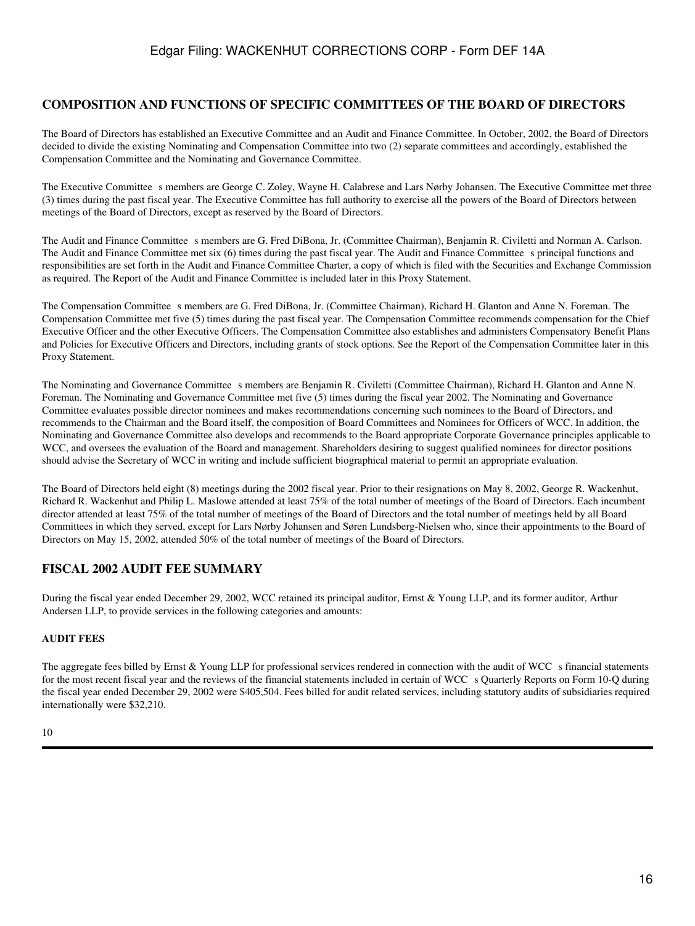### **COMPOSITION AND FUNCTIONS OF SPECIFIC COMMITTEES OF THE BOARD OF DIRECTORS**

The Board of Directors has established an Executive Committee and an Audit and Finance Committee. In October, 2002, the Board of Directors decided to divide the existing Nominating and Compensation Committee into two (2) separate committees and accordingly, established the Compensation Committee and the Nominating and Governance Committee.

The Executive Committee s members are George C. Zoley, Wayne H. Calabrese and Lars Nørby Johansen. The Executive Committee met three (3) times during the past fiscal year. The Executive Committee has full authority to exercise all the powers of the Board of Directors between meetings of the Board of Directors, except as reserved by the Board of Directors.

The Audit and Finance Committee s members are G. Fred DiBona, Jr. (Committee Chairman), Benjamin R. Civiletti and Norman A. Carlson. The Audit and Finance Committee met six (6) times during the past fiscal year. The Audit and Finance Committee s principal functions and responsibilities are set forth in the Audit and Finance Committee Charter, a copy of which is filed with the Securities and Exchange Commission as required. The Report of the Audit and Finance Committee is included later in this Proxy Statement.

The Compensation Committee s members are G. Fred DiBona, Jr. (Committee Chairman), Richard H. Glanton and Anne N. Foreman. The Compensation Committee met five (5) times during the past fiscal year. The Compensation Committee recommends compensation for the Chief Executive Officer and the other Executive Officers. The Compensation Committee also establishes and administers Compensatory Benefit Plans and Policies for Executive Officers and Directors, including grants of stock options. See the Report of the Compensation Committee later in this Proxy Statement.

The Nominating and Governance Committee s members are Benjamin R. Civiletti (Committee Chairman), Richard H. Glanton and Anne N. Foreman. The Nominating and Governance Committee met five (5) times during the fiscal year 2002. The Nominating and Governance Committee evaluates possible director nominees and makes recommendations concerning such nominees to the Board of Directors, and recommends to the Chairman and the Board itself, the composition of Board Committees and Nominees for Officers of WCC. In addition, the Nominating and Governance Committee also develops and recommends to the Board appropriate Corporate Governance principles applicable to WCC, and oversees the evaluation of the Board and management. Shareholders desiring to suggest qualified nominees for director positions should advise the Secretary of WCC in writing and include sufficient biographical material to permit an appropriate evaluation.

The Board of Directors held eight (8) meetings during the 2002 fiscal year. Prior to their resignations on May 8, 2002, George R. Wackenhut, Richard R. Wackenhut and Philip L. Maslowe attended at least 75% of the total number of meetings of the Board of Directors. Each incumbent director attended at least 75% of the total number of meetings of the Board of Directors and the total number of meetings held by all Board Committees in which they served, except for Lars Nørby Johansen and Søren Lundsberg-Nielsen who, since their appointments to the Board of Directors on May 15, 2002, attended 50% of the total number of meetings of the Board of Directors.

# **FISCAL 2002 AUDIT FEE SUMMARY**

During the fiscal year ended December 29, 2002, WCC retained its principal auditor, Ernst & Young LLP, and its former auditor, Arthur Andersen LLP, to provide services in the following categories and amounts:

#### **AUDIT FEES**

The aggregate fees billed by Ernst & Young LLP for professional services rendered in connection with the audit of WCC s financial statements for the most recent fiscal year and the reviews of the financial statements included in certain of WCC s Quarterly Reports on Form 10-Q during the fiscal year ended December 29, 2002 were \$405,504. Fees billed for audit related services, including statutory audits of subsidiaries required internationally were \$32,210.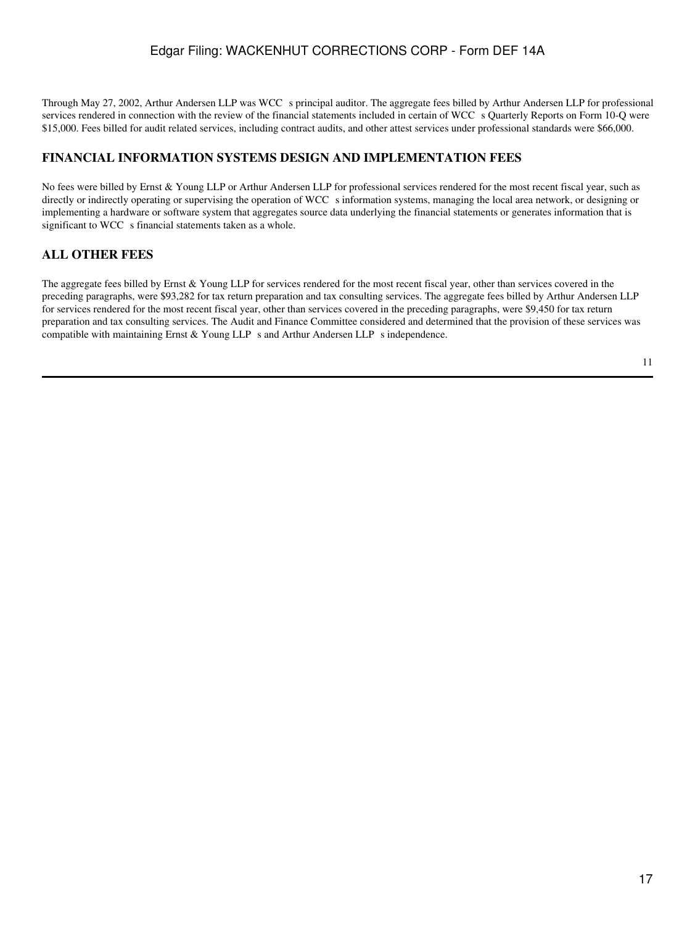Through May 27, 2002, Arthur Andersen LLP was WCC s principal auditor. The aggregate fees billed by Arthur Andersen LLP for professional services rendered in connection with the review of the financial statements included in certain of WCC s Quarterly Reports on Form 10-Q were \$15,000. Fees billed for audit related services, including contract audits, and other attest services under professional standards were \$66,000.

## **FINANCIAL INFORMATION SYSTEMS DESIGN AND IMPLEMENTATION FEES**

No fees were billed by Ernst & Young LLP or Arthur Andersen LLP for professional services rendered for the most recent fiscal year, such as directly or indirectly operating or supervising the operation of WCC s information systems, managing the local area network, or designing or implementing a hardware or software system that aggregates source data underlying the financial statements or generates information that is significant to WCC s financial statements taken as a whole.

## **ALL OTHER FEES**

The aggregate fees billed by Ernst & Young LLP for services rendered for the most recent fiscal year, other than services covered in the preceding paragraphs, were \$93,282 for tax return preparation and tax consulting services. The aggregate fees billed by Arthur Andersen LLP for services rendered for the most recent fiscal year, other than services covered in the preceding paragraphs, were \$9,450 for tax return preparation and tax consulting services. The Audit and Finance Committee considered and determined that the provision of these services was compatible with maintaining Ernst & Young LLP s and Arthur Andersen LLP s independence.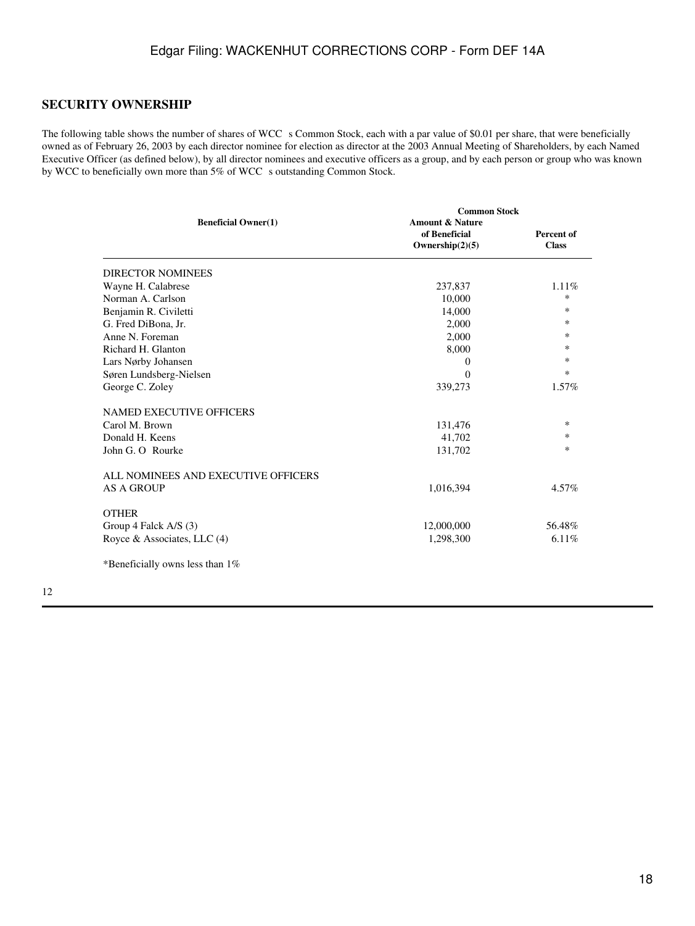### **SECURITY OWNERSHIP**

The following table shows the number of shares of WCC s Common Stock, each with a par value of \$0.01 per share, that were beneficially owned as of February 26, 2003 by each director nominee for election as director at the 2003 Annual Meeting of Shareholders, by each Named Executive Officer (as defined below), by all director nominees and executive officers as a group, and by each person or group who was known by WCC to beneficially own more than 5% of WCC s outstanding Common Stock.

|                                     | <b>Common Stock</b>                                               |                            |
|-------------------------------------|-------------------------------------------------------------------|----------------------------|
| <b>Beneficial Owner(1)</b>          | <b>Amount &amp; Nature</b><br>of Beneficial<br>Ownership $(2)(5)$ | Percent of<br><b>Class</b> |
| <b>DIRECTOR NOMINEES</b>            |                                                                   |                            |
| Wayne H. Calabrese                  | 237,837                                                           | 1.11%                      |
| Norman A. Carlson                   | 10,000                                                            | $\ast$                     |
| Benjamin R. Civiletti               | 14,000                                                            | $*$                        |
| G. Fred DiBona, Jr.                 | 2,000                                                             | $*$                        |
| Anne N. Foreman                     | 2,000                                                             | $*$                        |
| Richard H. Glanton                  | 8,000                                                             | $*$                        |
| Lars Nørby Johansen                 | $\theta$                                                          | $*$                        |
| Søren Lundsberg-Nielsen             | $\Omega$                                                          | $*$                        |
| George C. Zoley                     | 339,273                                                           | $1.57\%$                   |
| <b>NAMED EXECUTIVE OFFICERS</b>     |                                                                   |                            |
| Carol M. Brown                      | 131,476                                                           | $*$                        |
| Donald H. Keens                     | 41,702                                                            | $*$                        |
| John G. O Rourke                    | 131,702                                                           | $\ast$                     |
| ALL NOMINEES AND EXECUTIVE OFFICERS |                                                                   |                            |
| <b>AS A GROUP</b>                   | 1,016,394                                                         | 4.57%                      |
| <b>OTHER</b>                        |                                                                   |                            |
| Group 4 Falck A/S (3)               | 12,000,000                                                        | 56.48%                     |
| Royce & Associates, LLC (4)         | 1,298,300                                                         | 6.11%                      |
| *Beneficially owns less than $1\%$  |                                                                   |                            |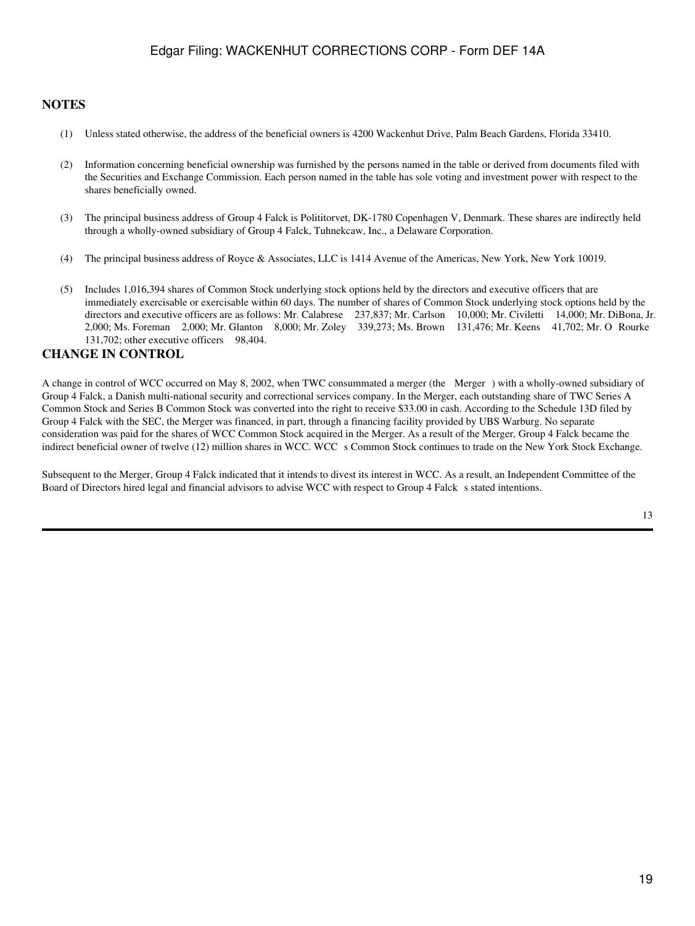### **NOTES**

- (1) Unless stated otherwise, the address of the beneficial owners is 4200 Wackenhut Drive, Palm Beach Gardens, Florida 33410.
- (2) Information concerning beneficial ownership was furnished by the persons named in the table or derived from documents filed with the Securities and Exchange Commission. Each person named in the table has sole voting and investment power with respect to the shares beneficially owned.
- (3) The principal business address of Group 4 Falck is Polititorvet, DK-1780 Copenhagen V, Denmark. These shares are indirectly held through a wholly-owned subsidiary of Group 4 Falck, Tuhnekcaw, Inc., a Delaware Corporation.
- (4) The principal business address of Royce & Associates, LLC is 1414 Avenue of the Americas, New York, New York 10019.
- (5) Includes 1,016,394 shares of Common Stock underlying stock options held by the directors and executive officers that are immediately exercisable or exercisable within 60 days. The number of shares of Common Stock underlying stock options held by the directors and executive officers are as follows: Mr. Calabrese 237,837; Mr. Carlson 10,000; Mr. Civiletti 14,000; Mr. DiBona, Jr. 2,000; Ms. Foreman 2,000; Mr. Glanton 8,000; Mr. Zoley 339,273; Ms. Brown 131,476; Mr. Keens 41,702; Mr. O Rourke 131,702; other executive officers 98,404.

### **CHANGE IN CONTROL**

A change in control of WCC occurred on May 8, 2002, when TWC consummated a merger (the Merger) with a wholly-owned subsidiary of Group 4 Falck, a Danish multi-national security and correctional services company. In the Merger, each outstanding share of TWC Series A Common Stock and Series B Common Stock was converted into the right to receive \$33.00 in cash. According to the Schedule 13D filed by Group 4 Falck with the SEC, the Merger was financed, in part, through a financing facility provided by UBS Warburg. No separate consideration was paid for the shares of WCC Common Stock acquired in the Merger. As a result of the Merger, Group 4 Falck became the indirect beneficial owner of twelve (12) million shares in WCC. WCC s Common Stock continues to trade on the New York Stock Exchange.

Subsequent to the Merger, Group 4 Falck indicated that it intends to divest its interest in WCC. As a result, an Independent Committee of the Board of Directors hired legal and financial advisors to advise WCC with respect to Group 4 Falck s stated intentions.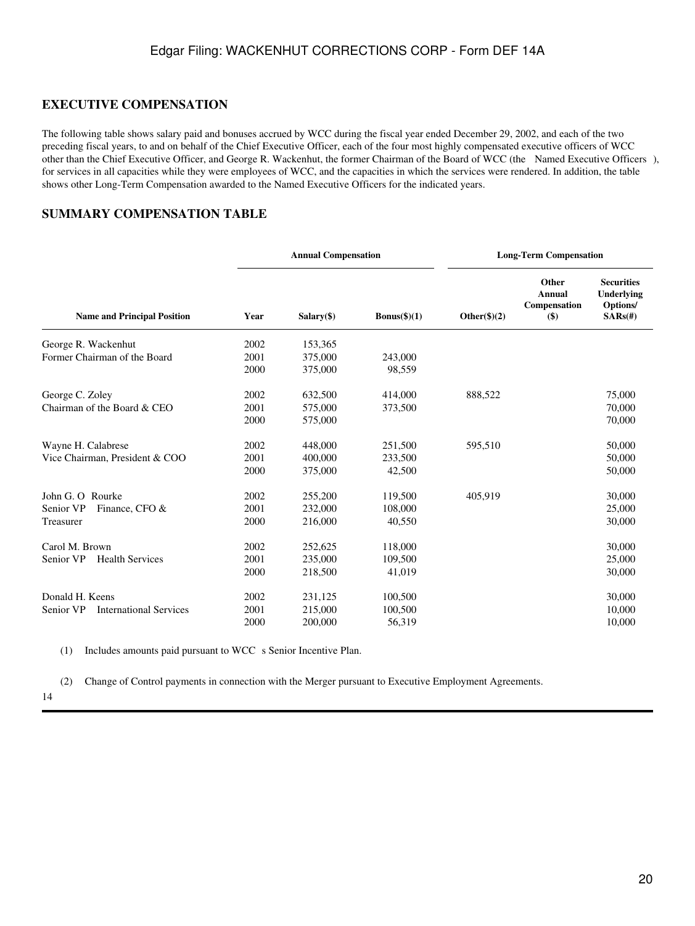## **EXECUTIVE COMPENSATION**

The following table shows salary paid and bonuses accrued by WCC during the fiscal year ended December 29, 2002, and each of the two preceding fiscal years, to and on behalf of the Chief Executive Officer, each of the four most highly compensated executive officers of WCC other than the Chief Executive Officer, and George R. Wackenhut, the former Chairman of the Board of WCC (the Named Executive Officers), for services in all capacities while they were employees of WCC, and the capacities in which the services were rendered. In addition, the table shows other Long-Term Compensation awarded to the Named Executive Officers for the indicated years.

## **SUMMARY COMPENSATION TABLE**

|                                            |      | <b>Annual Compensation</b> |                |                 | <b>Long-Term Compensation</b>                    |                                                                  |  |
|--------------------------------------------|------|----------------------------|----------------|-----------------|--------------------------------------------------|------------------------------------------------------------------|--|
| <b>Name and Principal Position</b>         | Year | $Salary(\$)$               | $Bonus(\$)(1)$ | Other $(\$)(2)$ | Other<br><b>Annual</b><br>Compensation<br>$($ \$ | <b>Securities</b><br><b>Underlying</b><br>Options/<br>$SARS(\#)$ |  |
| George R. Wackenhut                        | 2002 | 153,365                    |                |                 |                                                  |                                                                  |  |
| Former Chairman of the Board               | 2001 | 375,000                    | 243,000        |                 |                                                  |                                                                  |  |
|                                            | 2000 | 375,000                    | 98,559         |                 |                                                  |                                                                  |  |
| George C. Zoley                            | 2002 | 632,500                    | 414,000        | 888,522         |                                                  | 75,000                                                           |  |
| Chairman of the Board & CEO                | 2001 | 575,000                    | 373,500        |                 |                                                  | 70,000                                                           |  |
|                                            | 2000 | 575,000                    |                |                 |                                                  | 70,000                                                           |  |
| Wayne H. Calabrese                         | 2002 | 448,000                    | 251,500        | 595,510         |                                                  | 50,000                                                           |  |
| Vice Chairman, President & COO             | 2001 | 400,000                    | 233,500        |                 |                                                  | 50,000                                                           |  |
|                                            | 2000 | 375,000                    | 42,500         |                 |                                                  | 50,000                                                           |  |
| John G. O Rourke                           | 2002 | 255,200                    | 119,500        | 405,919         |                                                  | 30,000                                                           |  |
| Senior VP<br>Finance, CFO &                | 2001 | 232,000                    | 108,000        |                 |                                                  | 25,000                                                           |  |
| Treasurer                                  | 2000 | 216,000                    | 40,550         |                 |                                                  | 30,000                                                           |  |
| Carol M. Brown                             | 2002 | 252,625                    | 118,000        |                 |                                                  | 30,000                                                           |  |
| Senior VP<br><b>Health Services</b>        | 2001 | 235,000                    | 109,500        |                 |                                                  | 25,000                                                           |  |
|                                            | 2000 | 218,500                    | 41,019         |                 |                                                  | 30,000                                                           |  |
| Donald H. Keens                            | 2002 | 231,125                    | 100,500        |                 |                                                  | 30,000                                                           |  |
| Senior VP<br><b>International Services</b> | 2001 | 215,000                    | 100,500        |                 |                                                  | 10,000                                                           |  |
|                                            | 2000 | 200,000                    | 56,319         |                 |                                                  | 10,000                                                           |  |

(1) Includes amounts paid pursuant to WCC s Senior Incentive Plan.

(2) Change of Control payments in connection with the Merger pursuant to Executive Employment Agreements.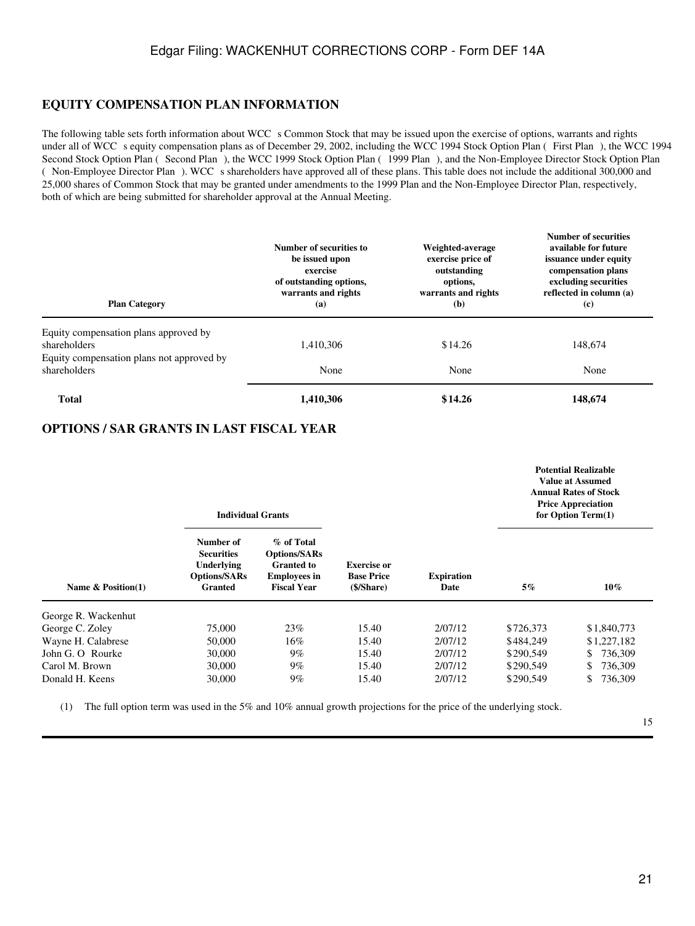### **EQUITY COMPENSATION PLAN INFORMATION**

The following table sets forth information about WCC s Common Stock that may be issued upon the exercise of options, warrants and rights under all of WCC s equity compensation plans as of December 29, 2002, including the WCC 1994 Stock Option Plan (First Plan), the WCC 1994 Second Stock Option Plan (Second Plan), the WCC 1999 Stock Option Plan (1999 Plan), and the Non-Employee Director Stock Option Plan ( Non-Employee Director Plan). WCC s shareholders have approved all of these plans. This table does not include the additional 300,000 and 25,000 shares of Common Stock that may be granted under amendments to the 1999 Plan and the Non-Employee Director Plan, respectively, both of which are being submitted for shareholder approval at the Annual Meeting.

| <b>Plan Category</b>                                      | Number of securities to<br>be issued upon<br>exercise<br>of outstanding options,<br>warrants and rights<br>(a) | Weighted-average<br>exercise price of<br>outstanding<br>options,<br>warrants and rights<br>(b) | <b>Number of securities</b><br>available for future<br>issuance under equity<br>compensation plans<br>excluding securities<br>reflected in column (a)<br>(c) |
|-----------------------------------------------------------|----------------------------------------------------------------------------------------------------------------|------------------------------------------------------------------------------------------------|--------------------------------------------------------------------------------------------------------------------------------------------------------------|
| Equity compensation plans approved by<br>shareholders     | 1,410,306                                                                                                      | \$14.26                                                                                        | 148,674                                                                                                                                                      |
| Equity compensation plans not approved by<br>shareholders | None                                                                                                           | None                                                                                           | None                                                                                                                                                         |
| <b>Total</b>                                              | 1,410,306                                                                                                      | \$14.26                                                                                        | 148,674                                                                                                                                                      |

### **OPTIONS / SAR GRANTS IN LAST FISCAL YEAR**

|                      | <b>Individual Grants</b>                                                                     |                                                                                                     |                                                       |                           | <b>Potential Realizable</b><br>Value at Assumed<br><b>Annual Rates of Stock</b><br><b>Price Appreciation</b><br>for Option Term(1) |                |
|----------------------|----------------------------------------------------------------------------------------------|-----------------------------------------------------------------------------------------------------|-------------------------------------------------------|---------------------------|------------------------------------------------------------------------------------------------------------------------------------|----------------|
| Name $& Position(1)$ | Number of<br><b>Securities</b><br><b>Underlying</b><br><b>Options/SARs</b><br><b>Granted</b> | % of Total<br><b>Options/SARs</b><br><b>Granted</b> to<br><b>Employees in</b><br><b>Fiscal Year</b> | <b>Exercise or</b><br><b>Base Price</b><br>(\$/Share) | <b>Expiration</b><br>Date | $5\%$                                                                                                                              | $10\%$         |
| George R. Wackenhut  |                                                                                              |                                                                                                     |                                                       |                           |                                                                                                                                    |                |
| George C. Zoley      | 75,000                                                                                       | 23%                                                                                                 | 15.40                                                 | 2/07/12                   | \$726,373                                                                                                                          | \$1,840,773    |
| Wayne H. Calabrese   | 50,000                                                                                       | $16\%$                                                                                              | 15.40                                                 | 2/07/12                   | \$484,249                                                                                                                          | \$1,227,182    |
| John G. O Rourke     | 30,000                                                                                       | $9\%$                                                                                               | 15.40                                                 | 2/07/12                   | \$290,549                                                                                                                          | 736,309<br>\$  |
| Carol M. Brown       | 30,000                                                                                       | $9\%$                                                                                               | 15.40                                                 | 2/07/12                   | \$290,549                                                                                                                          | 736,309<br>\$  |
| Donald H. Keens      | 30,000                                                                                       | $9\%$                                                                                               | 15.40                                                 | 2/07/12                   | \$290,549                                                                                                                          | 736,309<br>\$. |

(1) The full option term was used in the 5% and 10% annual growth projections for the price of the underlying stock.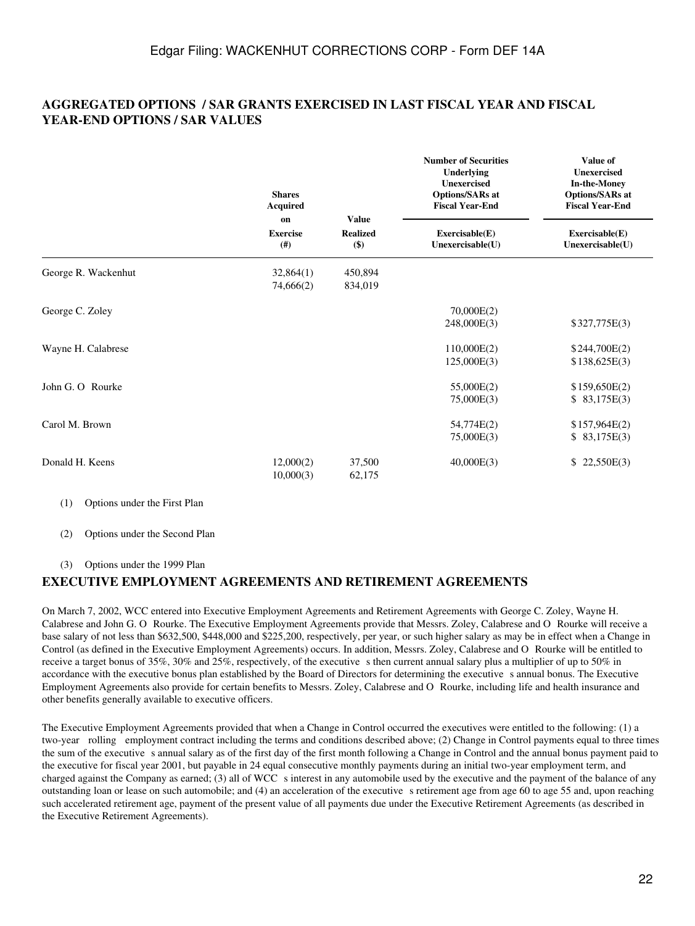## **AGGREGATED OPTIONS / SAR GRANTS EXERCISED IN LAST FISCAL YEAR AND FISCAL YEAR-END OPTIONS / SAR VALUES**

|                     | <b>Shares</b><br><b>Acquired</b> |                                            | <b>Number of Securities</b><br>Underlying<br><b>Unexercised</b><br><b>Options/SARs at</b><br><b>Fiscal Year-End</b> | <b>Value of</b><br><b>Unexercised</b><br><b>In-the-Money</b><br><b>Options/SARs at</b><br><b>Fiscal Year-End</b> |  |
|---------------------|----------------------------------|--------------------------------------------|---------------------------------------------------------------------------------------------------------------------|------------------------------------------------------------------------------------------------------------------|--|
|                     | on<br><b>Exercise</b><br>(# )    | <b>Value</b><br><b>Realized</b><br>$($ \$) | Exerciseable(E)<br>Unexercisable(U)                                                                                 | Exerciseable(E)<br>Unexercisable(U)                                                                              |  |
| George R. Wackenhut | 32,864(1)<br>74,666(2)           | 450,894<br>834,019                         |                                                                                                                     |                                                                                                                  |  |
| George C. Zoley     |                                  |                                            | 70,000E(2)<br>248,000E(3)                                                                                           | \$327,775E(3)                                                                                                    |  |
| Wayne H. Calabrese  |                                  |                                            | 110,000E(2)<br>125,000E(3)                                                                                          | \$244,700E(2)<br>\$138,625E(3)                                                                                   |  |
| John G. O Rourke    |                                  |                                            | 55,000E(2)<br>75,000E(3)                                                                                            | \$159,650E(2)<br>\$83,175E(3)                                                                                    |  |
| Carol M. Brown      |                                  |                                            | 54,774E(2)<br>75,000E(3)                                                                                            | \$157,964E(2)<br>\$83,175E(3)                                                                                    |  |
| Donald H. Keens     | 12,000(2)<br>10,000(3)           | 37,500<br>62,175                           | 40,000E(3)                                                                                                          | 22,550E(3)<br>\$                                                                                                 |  |

(1) Options under the First Plan

(2) Options under the Second Plan

(3) Options under the 1999 Plan

## **EXECUTIVE EMPLOYMENT AGREEMENTS AND RETIREMENT AGREEMENTS**

On March 7, 2002, WCC entered into Executive Employment Agreements and Retirement Agreements with George C. Zoley, Wayne H. Calabrese and John G. O Rourke. The Executive Employment Agreements provide that Messrs. Zoley, Calabrese and O Rourke will receive a base salary of not less than \$632,500, \$448,000 and \$225,200, respectively, per year, or such higher salary as may be in effect when a Change in Control (as defined in the Executive Employment Agreements) occurs. In addition, Messrs. Zoley, Calabrese and O Rourke will be entitled to receive a target bonus of 35%, 30% and 25%, respectively, of the executive s then current annual salary plus a multiplier of up to 50% in accordance with the executive bonus plan established by the Board of Directors for determining the executive s annual bonus. The Executive Employment Agreements also provide for certain benefits to Messrs. Zoley, Calabrese and O Rourke, including life and health insurance and other benefits generally available to executive officers.

The Executive Employment Agreements provided that when a Change in Control occurred the executives were entitled to the following: (1) a two-year rolling employment contract including the terms and conditions described above; (2) Change in Control payments equal to three times the sum of the executive s annual salary as of the first day of the first month following a Change in Control and the annual bonus payment paid to the executive for fiscal year 2001, but payable in 24 equal consecutive monthly payments during an initial two-year employment term, and charged against the Company as earned; (3) all of WCC s interest in any automobile used by the executive and the payment of the balance of any outstanding loan or lease on such automobile; and (4) an acceleration of the executive s retirement age from age 60 to age 55 and, upon reaching such accelerated retirement age, payment of the present value of all payments due under the Executive Retirement Agreements (as described in the Executive Retirement Agreements).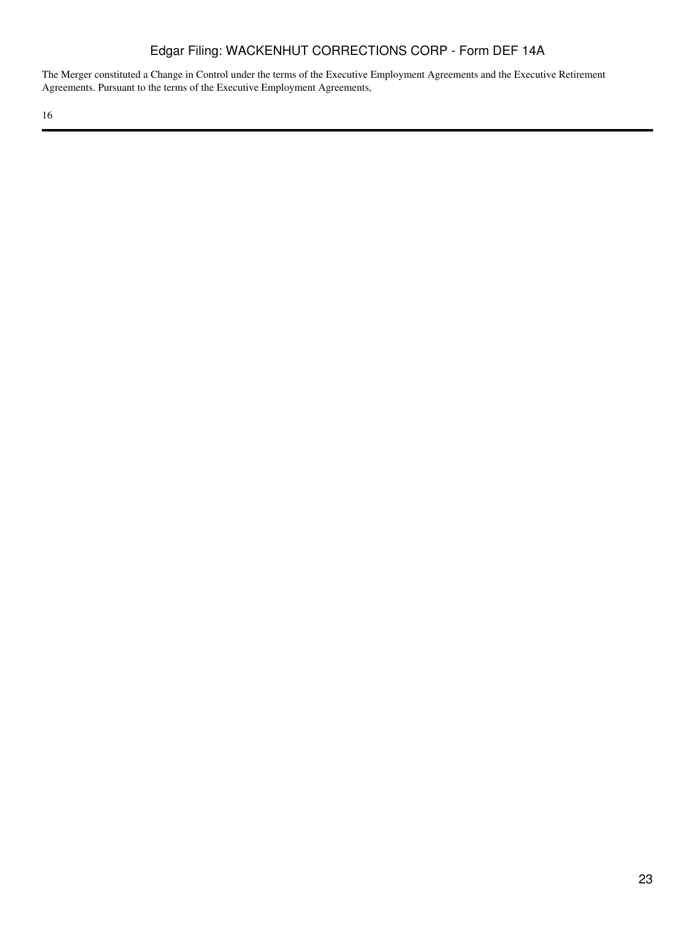The Merger constituted a Change in Control under the terms of the Executive Employment Agreements and the Executive Retirement Agreements. Pursuant to the terms of the Executive Employment Agreements,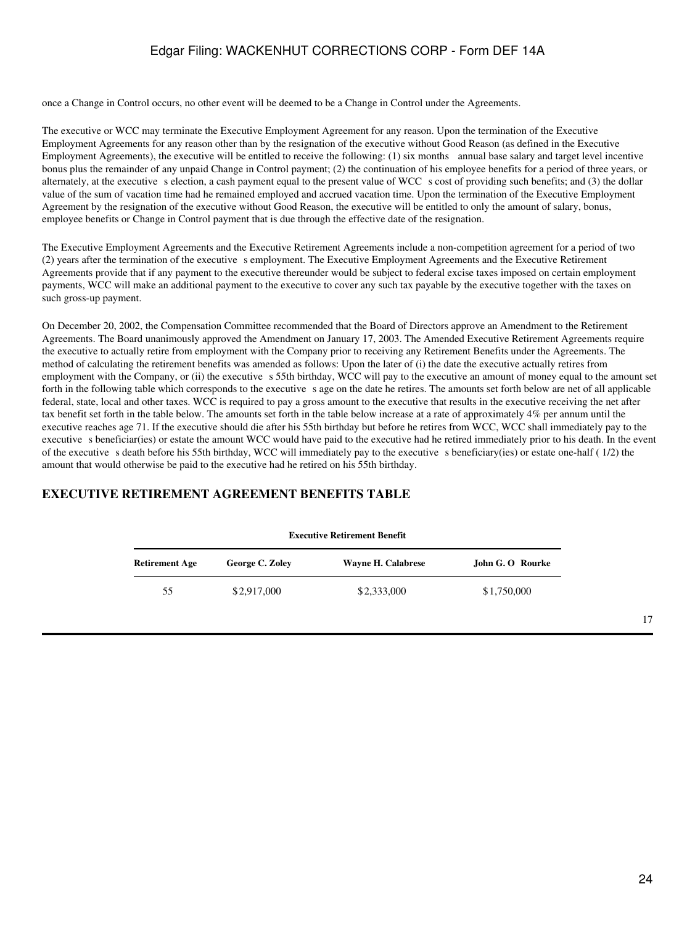once a Change in Control occurs, no other event will be deemed to be a Change in Control under the Agreements.

The executive or WCC may terminate the Executive Employment Agreement for any reason. Upon the termination of the Executive Employment Agreements for any reason other than by the resignation of the executive without Good Reason (as defined in the Executive Employment Agreements), the executive will be entitled to receive the following: (1) six months annual base salary and target level incentive bonus plus the remainder of any unpaid Change in Control payment; (2) the continuation of his employee benefits for a period of three years, or alternately, at the executive s election, a cash payment equal to the present value of WCC s cost of providing such benefits; and (3) the dollar value of the sum of vacation time had he remained employed and accrued vacation time. Upon the termination of the Executive Employment Agreement by the resignation of the executive without Good Reason, the executive will be entitled to only the amount of salary, bonus, employee benefits or Change in Control payment that is due through the effective date of the resignation.

The Executive Employment Agreements and the Executive Retirement Agreements include a non-competition agreement for a period of two (2) years after the termination of the executive s employment. The Executive Employment Agreements and the Executive Retirement Agreements provide that if any payment to the executive thereunder would be subject to federal excise taxes imposed on certain employment payments, WCC will make an additional payment to the executive to cover any such tax payable by the executive together with the taxes on such gross-up payment.

On December 20, 2002, the Compensation Committee recommended that the Board of Directors approve an Amendment to the Retirement Agreements. The Board unanimously approved the Amendment on January 17, 2003. The Amended Executive Retirement Agreements require the executive to actually retire from employment with the Company prior to receiving any Retirement Benefits under the Agreements. The method of calculating the retirement benefits was amended as follows: Upon the later of (i) the date the executive actually retires from employment with the Company, or (ii) the executive s 55th birthday, WCC will pay to the executive an amount of money equal to the amount set forth in the following table which corresponds to the executive sage on the date he retires. The amounts set forth below are net of all applicable federal, state, local and other taxes. WCC is required to pay a gross amount to the executive that results in the executive receiving the net after tax benefit set forth in the table below. The amounts set forth in the table below increase at a rate of approximately 4% per annum until the executive reaches age 71. If the executive should die after his 55th birthday but before he retires from WCC, WCC shall immediately pay to the executive s beneficiar(ies) or estate the amount WCC would have paid to the executive had he retired immediately prior to his death. In the event of the executive s death before his 55th birthday, WCC will immediately pay to the executive s beneficiary(ies) or estate one-half (1/2) the amount that would otherwise be paid to the executive had he retired on his 55th birthday.

## **EXECUTIVE RETIREMENT AGREEMENT BENEFITS TABLE**

| executive Ketifelijeht deljelit |                 |                    |                  |  |
|---------------------------------|-----------------|--------------------|------------------|--|
| <b>Retirement Age</b>           | George C. Zoley | Wayne H. Calabrese | John G. O Rourke |  |
| 55                              | \$2,917,000     | \$2,333,000        | \$1,750,000      |  |
|                                 |                 |                    |                  |  |

**Executive Retirement Benefit**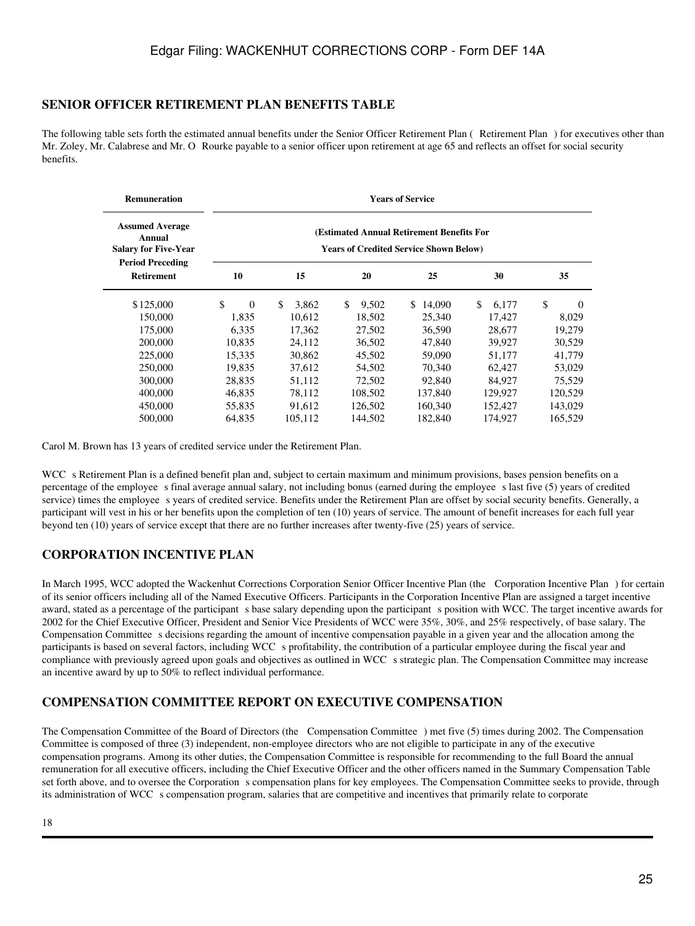### **SENIOR OFFICER RETIREMENT PLAN BENEFITS TABLE**

The following table sets forth the estimated annual benefits under the Senior Officer Retirement Plan (Retirement Plan) for executives other than Mr. Zoley, Mr. Calabrese and Mr. O Rourke payable to a senior officer upon retirement at age 65 and reflects an offset for social security benefits.

| <b>Remuneration</b>                                                                        | <b>Years of Service</b> |             |              |                                                                                            |             |                |
|--------------------------------------------------------------------------------------------|-------------------------|-------------|--------------|--------------------------------------------------------------------------------------------|-------------|----------------|
| <b>Assumed Average</b><br>Annual<br><b>Salary for Five-Year</b><br><b>Period Preceding</b> |                         |             |              | (Estimated Annual Retirement Benefits For<br><b>Years of Credited Service Shown Below)</b> |             |                |
| <b>Retirement</b>                                                                          | 10                      | 15          | 20           | 25                                                                                         | 30          | 35             |
| \$125,000                                                                                  | \$<br>$\Omega$          | \$<br>3,862 | \$.<br>9,502 | S.<br>14,090                                                                               | \$<br>6.177 | \$<br>$\Omega$ |
| 150,000                                                                                    | 1,835                   | 10,612      | 18,502       | 25,340                                                                                     | 17,427      | 8,029          |
| 175,000                                                                                    | 6,335                   | 17,362      | 27,502       | 36,590                                                                                     | 28,677      | 19,279         |
| 200,000                                                                                    | 10,835                  | 24,112      | 36,502       | 47,840                                                                                     | 39,927      | 30,529         |
| 225,000                                                                                    | 15,335                  | 30,862      | 45,502       | 59,090                                                                                     | 51,177      | 41,779         |
| 250,000                                                                                    | 19,835                  | 37,612      | 54,502       | 70,340                                                                                     | 62,427      | 53,029         |
| 300,000                                                                                    | 28,835                  | 51,112      | 72,502       | 92,840                                                                                     | 84,927      | 75,529         |
| 400,000                                                                                    | 46,835                  | 78,112      | 108,502      | 137,840                                                                                    | 129,927     | 120,529        |
| 450,000                                                                                    | 55,835                  | 91,612      | 126,502      | 160,340                                                                                    | 152,427     | 143,029        |
| 500,000                                                                                    | 64,835                  | 105,112     | 144,502      | 182,840                                                                                    | 174,927     | 165,529        |

Carol M. Brown has 13 years of credited service under the Retirement Plan.

WCC s Retirement Plan is a defined benefit plan and, subject to certain maximum and minimum provisions, bases pension benefits on a percentage of the employee s final average annual salary, not including bonus (earned during the employee s last five (5) years of credited service) times the employee s years of credited service. Benefits under the Retirement Plan are offset by social security benefits. Generally, a participant will vest in his or her benefits upon the completion of ten (10) years of service. The amount of benefit increases for each full year beyond ten (10) years of service except that there are no further increases after twenty-five (25) years of service.

## **CORPORATION INCENTIVE PLAN**

In March 1995, WCC adopted the Wackenhut Corrections Corporation Senior Officer Incentive Plan (the Corporation Incentive Plan) for certain of its senior officers including all of the Named Executive Officers. Participants in the Corporation Incentive Plan are assigned a target incentive award, stated as a percentage of the participant s base salary depending upon the participant s position with WCC. The target incentive awards for 2002 for the Chief Executive Officer, President and Senior Vice Presidents of WCC were 35%, 30%, and 25% respectively, of base salary. The Compensation Committee s decisions regarding the amount of incentive compensation payable in a given year and the allocation among the participants is based on several factors, including WCC s profitability, the contribution of a particular employee during the fiscal year and compliance with previously agreed upon goals and objectives as outlined in WCC s strategic plan. The Compensation Committee may increase an incentive award by up to 50% to reflect individual performance.

## **COMPENSATION COMMITTEE REPORT ON EXECUTIVE COMPENSATION**

The Compensation Committee of the Board of Directors (the Compensation Committee) met five (5) times during 2002. The Compensation Committee is composed of three (3) independent, non-employee directors who are not eligible to participate in any of the executive compensation programs. Among its other duties, the Compensation Committee is responsible for recommending to the full Board the annual remuneration for all executive officers, including the Chief Executive Officer and the other officers named in the Summary Compensation Table set forth above, and to oversee the Corporation s compensation plans for key employees. The Compensation Committee seeks to provide, through its administration of WCC s compensation program, salaries that are competitive and incentives that primarily relate to corporate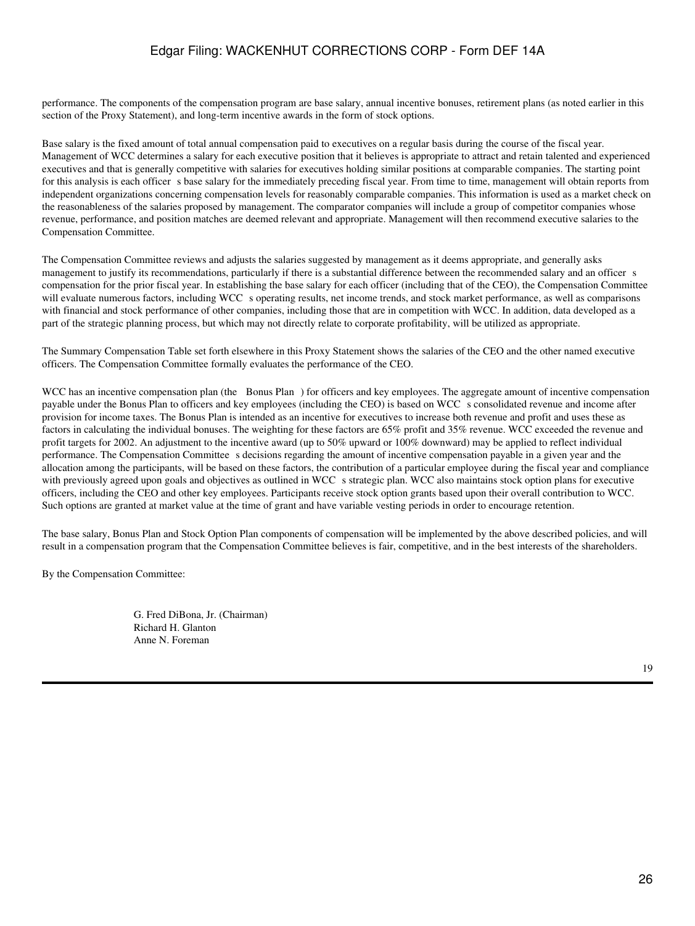performance. The components of the compensation program are base salary, annual incentive bonuses, retirement plans (as noted earlier in this section of the Proxy Statement), and long-term incentive awards in the form of stock options.

Base salary is the fixed amount of total annual compensation paid to executives on a regular basis during the course of the fiscal year. Management of WCC determines a salary for each executive position that it believes is appropriate to attract and retain talented and experienced executives and that is generally competitive with salaries for executives holding similar positions at comparable companies. The starting point for this analysis is each officer s base salary for the immediately preceding fiscal year. From time to time, management will obtain reports from independent organizations concerning compensation levels for reasonably comparable companies. This information is used as a market check on the reasonableness of the salaries proposed by management. The comparator companies will include a group of competitor companies whose revenue, performance, and position matches are deemed relevant and appropriate. Management will then recommend executive salaries to the Compensation Committee.

The Compensation Committee reviews and adjusts the salaries suggested by management as it deems appropriate, and generally asks management to justify its recommendations, particularly if there is a substantial difference between the recommended salary and an officer s compensation for the prior fiscal year. In establishing the base salary for each officer (including that of the CEO), the Compensation Committee will evaluate numerous factors, including WCC s operating results, net income trends, and stock market performance, as well as comparisons with financial and stock performance of other companies, including those that are in competition with WCC. In addition, data developed as a part of the strategic planning process, but which may not directly relate to corporate profitability, will be utilized as appropriate.

The Summary Compensation Table set forth elsewhere in this Proxy Statement shows the salaries of the CEO and the other named executive officers. The Compensation Committee formally evaluates the performance of the CEO.

WCC has an incentive compensation plan (the Bonus Plan) for officers and key employees. The aggregate amount of incentive compensation payable under the Bonus Plan to officers and key employees (including the CEO) is based on WCC s consolidated revenue and income after provision for income taxes. The Bonus Plan is intended as an incentive for executives to increase both revenue and profit and uses these as factors in calculating the individual bonuses. The weighting for these factors are 65% profit and 35% revenue. WCC exceeded the revenue and profit targets for 2002. An adjustment to the incentive award (up to 50% upward or 100% downward) may be applied to reflect individual performance. The Compensation Committee s decisions regarding the amount of incentive compensation payable in a given year and the allocation among the participants, will be based on these factors, the contribution of a particular employee during the fiscal year and compliance with previously agreed upon goals and objectives as outlined in WCC s strategic plan. WCC also maintains stock option plans for executive officers, including the CEO and other key employees. Participants receive stock option grants based upon their overall contribution to WCC. Such options are granted at market value at the time of grant and have variable vesting periods in order to encourage retention.

The base salary, Bonus Plan and Stock Option Plan components of compensation will be implemented by the above described policies, and will result in a compensation program that the Compensation Committee believes is fair, competitive, and in the best interests of the shareholders.

By the Compensation Committee:

G. Fred DiBona, Jr. (Chairman) Richard H. Glanton Anne N. Foreman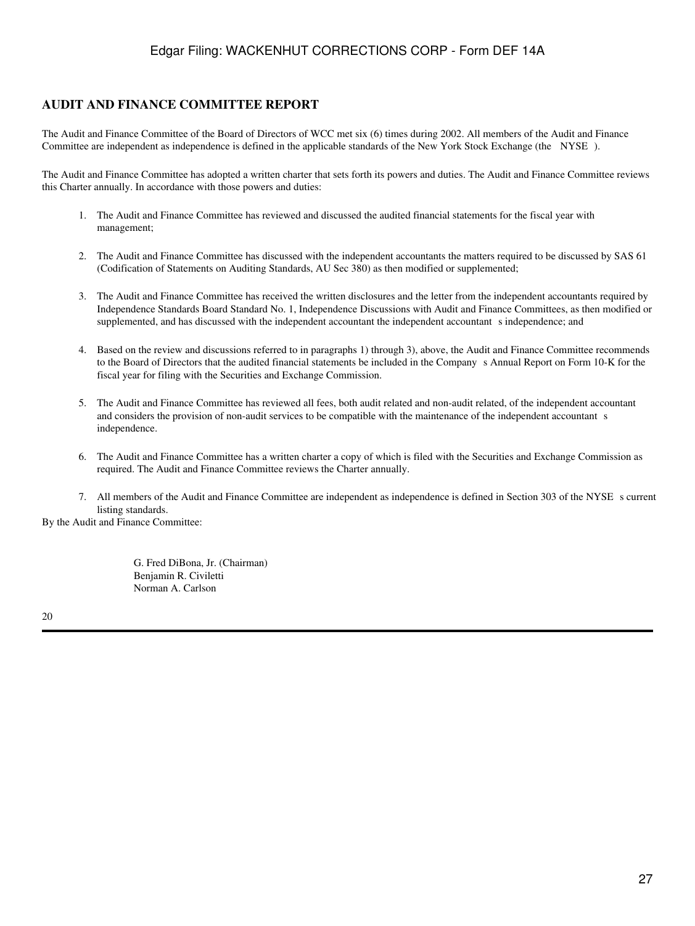### **AUDIT AND FINANCE COMMITTEE REPORT**

The Audit and Finance Committee of the Board of Directors of WCC met six (6) times during 2002. All members of the Audit and Finance Committee are independent as independence is defined in the applicable standards of the New York Stock Exchange (the NYSE).

The Audit and Finance Committee has adopted a written charter that sets forth its powers and duties. The Audit and Finance Committee reviews this Charter annually. In accordance with those powers and duties:

- 1. The Audit and Finance Committee has reviewed and discussed the audited financial statements for the fiscal year with management;
- 2. The Audit and Finance Committee has discussed with the independent accountants the matters required to be discussed by SAS 61 (Codification of Statements on Auditing Standards, AU Sec 380) as then modified or supplemented;
- 3. The Audit and Finance Committee has received the written disclosures and the letter from the independent accountants required by Independence Standards Board Standard No. 1, Independence Discussions with Audit and Finance Committees, as then modified or supplemented, and has discussed with the independent accountant the independent accountant s independence; and
- 4. Based on the review and discussions referred to in paragraphs 1) through 3), above, the Audit and Finance Committee recommends to the Board of Directors that the audited financial statements be included in the Company s Annual Report on Form 10-K for the fiscal year for filing with the Securities and Exchange Commission.
- 5. The Audit and Finance Committee has reviewed all fees, both audit related and non-audit related, of the independent accountant and considers the provision of non-audit services to be compatible with the maintenance of the independent accountant s independence.
- 6. The Audit and Finance Committee has a written charter a copy of which is filed with the Securities and Exchange Commission as required. The Audit and Finance Committee reviews the Charter annually.
- 7. All members of the Audit and Finance Committee are independent as independence is defined in Section 303 of the NYSEs current listing standards.

By the Audit and Finance Committee:

G. Fred DiBona, Jr. (Chairman) Benjamin R. Civiletti Norman A. Carlson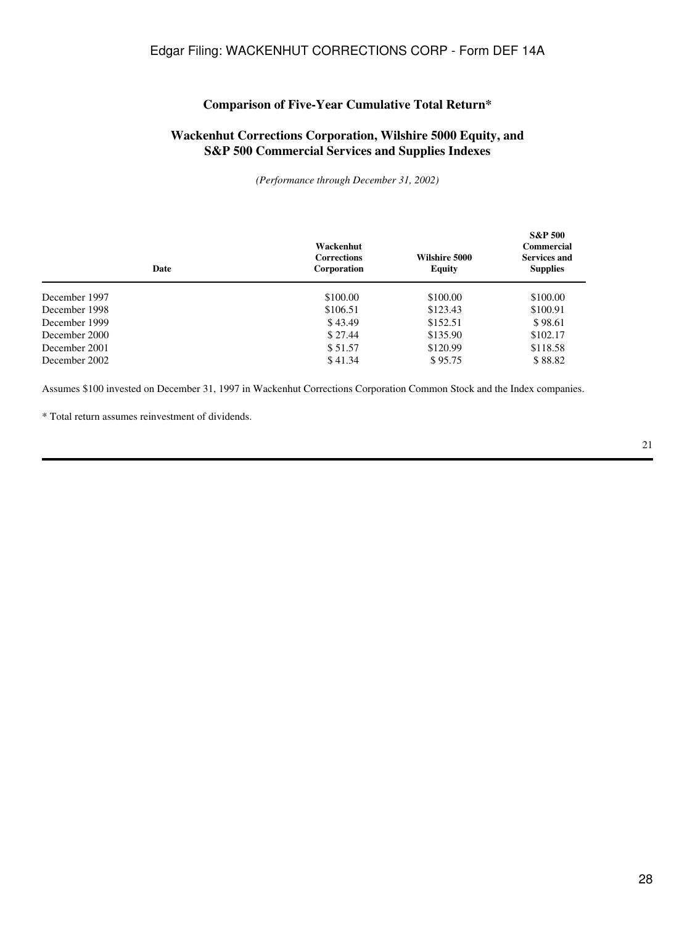### **Comparison of Five-Year Cumulative Total Return\***

## **Wackenhut Corrections Corporation, Wilshire 5000 Equity, and S&P 500 Commercial Services and Supplies Indexes**

*(Performance through December 31, 2002)*

| Date          | Wackenhut<br><b>Corrections</b><br>Corporation | Wilshire 5000<br>Equity | <b>S&amp;P 500</b><br>Commercial<br><b>Services and</b><br><b>Supplies</b> |
|---------------|------------------------------------------------|-------------------------|----------------------------------------------------------------------------|
| December 1997 | \$100.00                                       | \$100.00                | \$100.00                                                                   |
| December 1998 | \$106.51                                       | \$123.43                | \$100.91                                                                   |
| December 1999 | \$43.49                                        | \$152.51                | \$98.61                                                                    |
| December 2000 | \$27.44                                        | \$135.90                | \$102.17                                                                   |
| December 2001 | \$51.57                                        | \$120.99                | \$118.58                                                                   |
| December 2002 | \$41.34                                        | \$95.75                 | \$88.82                                                                    |

Assumes \$100 invested on December 31, 1997 in Wackenhut Corrections Corporation Common Stock and the Index companies.

\* Total return assumes reinvestment of dividends.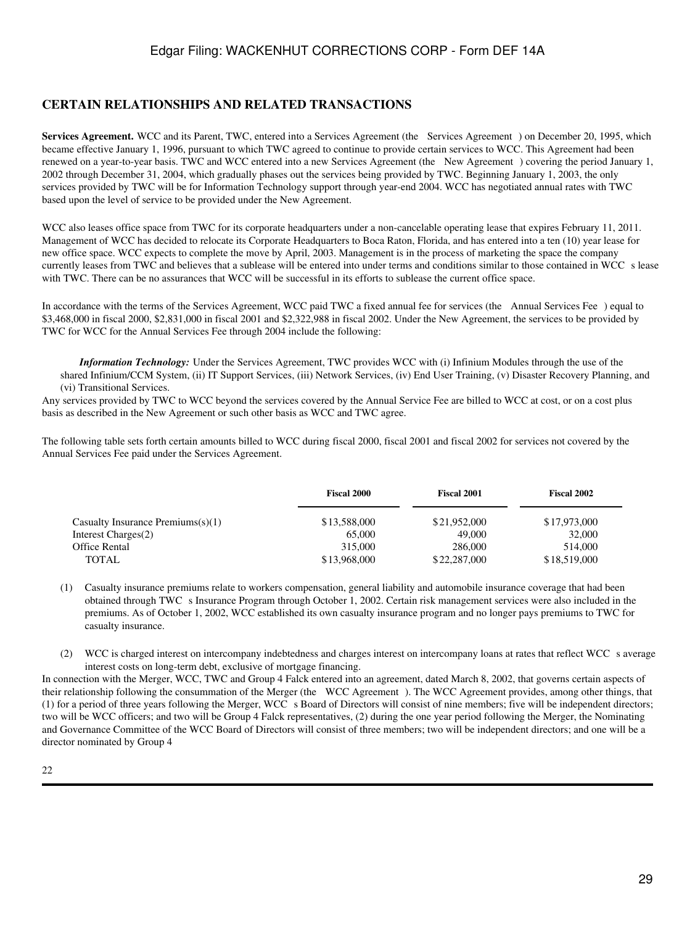### **CERTAIN RELATIONSHIPS AND RELATED TRANSACTIONS**

Services Agreement. WCC and its Parent, TWC, entered into a Services Agreement (the Services Agreement) on December 20, 1995, which became effective January 1, 1996, pursuant to which TWC agreed to continue to provide certain services to WCC. This Agreement had been renewed on a year-to-year basis. TWC and WCC entered into a new Services Agreement (the New Agreement) covering the period January 1, 2002 through December 31, 2004, which gradually phases out the services being provided by TWC. Beginning January 1, 2003, the only services provided by TWC will be for Information Technology support through year-end 2004. WCC has negotiated annual rates with TWC based upon the level of service to be provided under the New Agreement.

WCC also leases office space from TWC for its corporate headquarters under a non-cancelable operating lease that expires February 11, 2011. Management of WCC has decided to relocate its Corporate Headquarters to Boca Raton, Florida, and has entered into a ten (10) year lease for new office space. WCC expects to complete the move by April, 2003. Management is in the process of marketing the space the company currently leases from TWC and believes that a sublease will be entered into under terms and conditions similar to those contained in WCC s lease with TWC. There can be no assurances that WCC will be successful in its efforts to sublease the current office space.

In accordance with the terms of the Services Agreement, WCC paid TWC a fixed annual fee for services (the Annual Services Fee) equal to \$3,468,000 in fiscal 2000, \$2,831,000 in fiscal 2001 and \$2,322,988 in fiscal 2002. Under the New Agreement, the services to be provided by TWC for WCC for the Annual Services Fee through 2004 include the following:

*Information Technology:* Under the Services Agreement, TWC provides WCC with (i) Infinium Modules through the use of the shared Infinium/CCM System, (ii) IT Support Services, (iii) Network Services, (iv) End User Training, (v) Disaster Recovery Planning, and (vi) Transitional Services.

Any services provided by TWC to WCC beyond the services covered by the Annual Service Fee are billed to WCC at cost, or on a cost plus basis as described in the New Agreement or such other basis as WCC and TWC agree.

The following table sets forth certain amounts billed to WCC during fiscal 2000, fiscal 2001 and fiscal 2002 for services not covered by the Annual Services Fee paid under the Services Agreement.

|                                      | <b>Fiscal 2000</b> | <b>Fiscal 2001</b> | Fiscal 2002  |
|--------------------------------------|--------------------|--------------------|--------------|
| Casualty Insurance Premiums $(s)(1)$ | \$13,588,000       | \$21,952,000       | \$17,973,000 |
| Interest Charges(2)                  | 65,000             | 49,000             | 32,000       |
| Office Rental                        | 315,000            | 286,000            | 514,000      |
| <b>TOTAL</b>                         | \$13,968,000       | \$22,287,000       | \$18,519,000 |

(1) Casualty insurance premiums relate to workers compensation, general liability and automobile insurance coverage that had been obtained through TWC s Insurance Program through October 1, 2002. Certain risk management services were also included in the premiums. As of October 1, 2002, WCC established its own casualty insurance program and no longer pays premiums to TWC for casualty insurance.

(2) WCC is charged interest on intercompany indebtedness and charges interest on intercompany loans at rates that reflect WCC s average interest costs on long-term debt, exclusive of mortgage financing.

In connection with the Merger, WCC, TWC and Group 4 Falck entered into an agreement, dated March 8, 2002, that governs certain aspects of their relationship following the consummation of the Merger (the WCC Agreement). The WCC Agreement provides, among other things, that (1) for a period of three years following the Merger, WCC s Board of Directors will consist of nine members; five will be independent directors; two will be WCC officers; and two will be Group 4 Falck representatives, (2) during the one year period following the Merger, the Nominating and Governance Committee of the WCC Board of Directors will consist of three members; two will be independent directors; and one will be a director nominated by Group 4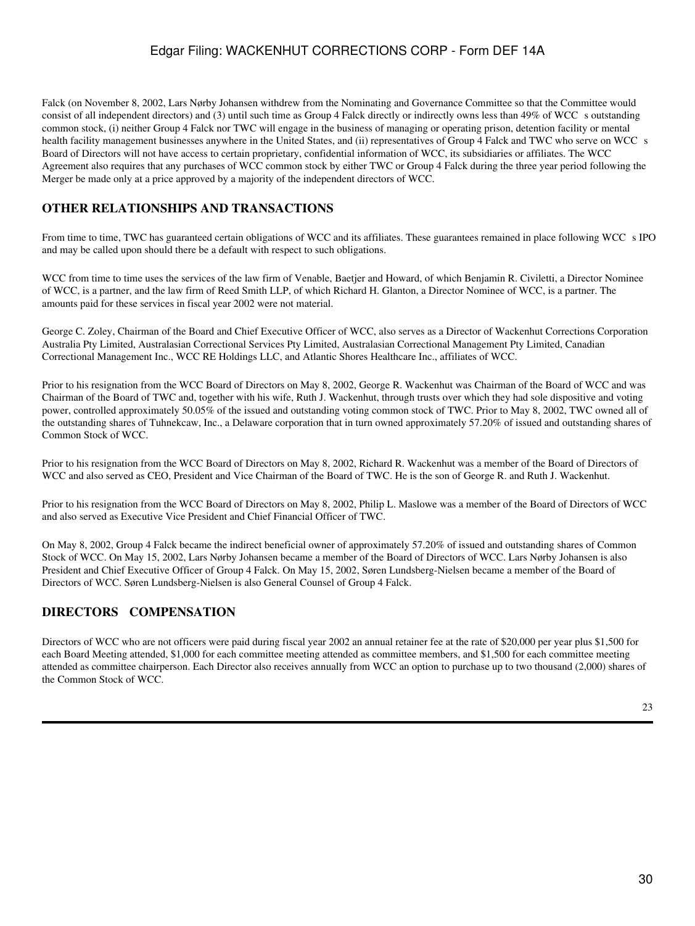Falck (on November 8, 2002, Lars Nørby Johansen withdrew from the Nominating and Governance Committee so that the Committee would consist of all independent directors) and (3) until such time as Group 4 Falck directly or indirectly owns less than 49% of WCC s outstanding common stock, (i) neither Group 4 Falck nor TWC will engage in the business of managing or operating prison, detention facility or mental health facility management businesses anywhere in the United States, and (ii) representatives of Group 4 Falck and TWC who serve on WCC s Board of Directors will not have access to certain proprietary, confidential information of WCC, its subsidiaries or affiliates. The WCC Agreement also requires that any purchases of WCC common stock by either TWC or Group 4 Falck during the three year period following the Merger be made only at a price approved by a majority of the independent directors of WCC.

## **OTHER RELATIONSHIPS AND TRANSACTIONS**

From time to time, TWC has guaranteed certain obligations of WCC and its affiliates. These guarantees remained in place following WCC s IPO and may be called upon should there be a default with respect to such obligations.

WCC from time to time uses the services of the law firm of Venable, Baetjer and Howard, of which Benjamin R. Civiletti, a Director Nominee of WCC, is a partner, and the law firm of Reed Smith LLP, of which Richard H. Glanton, a Director Nominee of WCC, is a partner. The amounts paid for these services in fiscal year 2002 were not material.

George C. Zoley, Chairman of the Board and Chief Executive Officer of WCC, also serves as a Director of Wackenhut Corrections Corporation Australia Pty Limited, Australasian Correctional Services Pty Limited, Australasian Correctional Management Pty Limited, Canadian Correctional Management Inc., WCC RE Holdings LLC, and Atlantic Shores Healthcare Inc., affiliates of WCC.

Prior to his resignation from the WCC Board of Directors on May 8, 2002, George R. Wackenhut was Chairman of the Board of WCC and was Chairman of the Board of TWC and, together with his wife, Ruth J. Wackenhut, through trusts over which they had sole dispositive and voting power, controlled approximately 50.05% of the issued and outstanding voting common stock of TWC. Prior to May 8, 2002, TWC owned all of the outstanding shares of Tuhnekcaw, Inc., a Delaware corporation that in turn owned approximately 57.20% of issued and outstanding shares of Common Stock of WCC.

Prior to his resignation from the WCC Board of Directors on May 8, 2002, Richard R. Wackenhut was a member of the Board of Directors of WCC and also served as CEO, President and Vice Chairman of the Board of TWC. He is the son of George R. and Ruth J. Wackenhut.

Prior to his resignation from the WCC Board of Directors on May 8, 2002, Philip L. Maslowe was a member of the Board of Directors of WCC and also served as Executive Vice President and Chief Financial Officer of TWC.

On May 8, 2002, Group 4 Falck became the indirect beneficial owner of approximately 57.20% of issued and outstanding shares of Common Stock of WCC. On May 15, 2002, Lars Nørby Johansen became a member of the Board of Directors of WCC. Lars Nørby Johansen is also President and Chief Executive Officer of Group 4 Falck. On May 15, 2002, Søren Lundsberg-Nielsen became a member of the Board of Directors of WCC. Søren Lundsberg-Nielsen is also General Counsel of Group 4 Falck.

# **DIRECTORS COMPENSATION**

Directors of WCC who are not officers were paid during fiscal year 2002 an annual retainer fee at the rate of \$20,000 per year plus \$1,500 for each Board Meeting attended, \$1,000 for each committee meeting attended as committee members, and \$1,500 for each committee meeting attended as committee chairperson. Each Director also receives annually from WCC an option to purchase up to two thousand (2,000) shares of the Common Stock of WCC.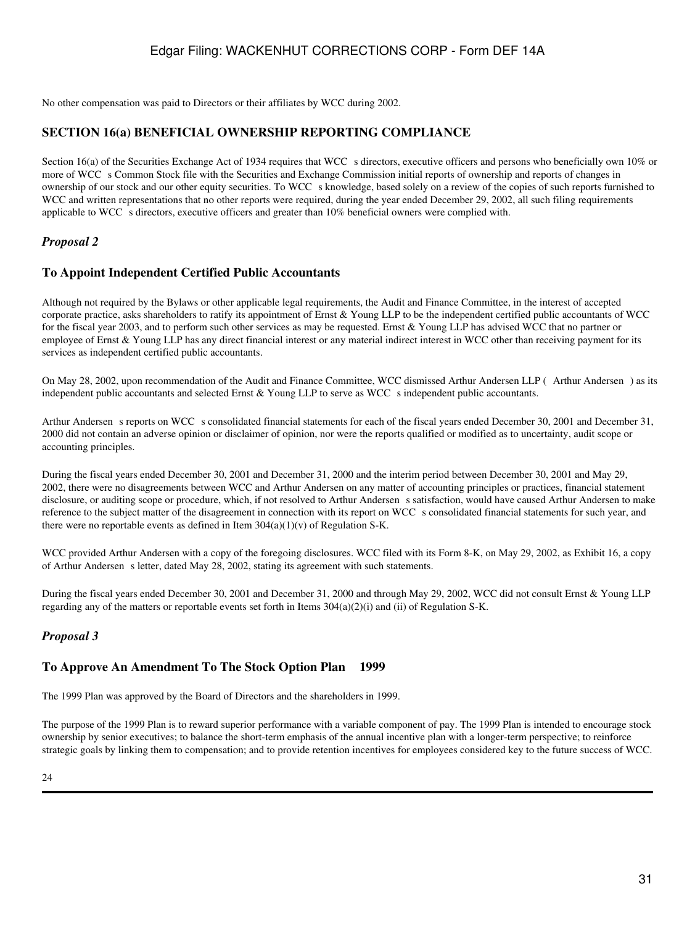No other compensation was paid to Directors or their affiliates by WCC during 2002.

### **SECTION 16(a) BENEFICIAL OWNERSHIP REPORTING COMPLIANCE**

Section 16(a) of the Securities Exchange Act of 1934 requires that WCC s directors, executive officers and persons who beneficially own 10% or more of WCC s Common Stock file with the Securities and Exchange Commission initial reports of ownership and reports of changes in ownership of our stock and our other equity securities. To WCC s knowledge, based solely on a review of the copies of such reports furnished to WCC and written representations that no other reports were required, during the year ended December 29, 2002, all such filing requirements applicable to WCC s directors, executive officers and greater than 10% beneficial owners were complied with.

### *Proposal 2*

### **To Appoint Independent Certified Public Accountants**

Although not required by the Bylaws or other applicable legal requirements, the Audit and Finance Committee, in the interest of accepted corporate practice, asks shareholders to ratify its appointment of Ernst & Young LLP to be the independent certified public accountants of WCC for the fiscal year 2003, and to perform such other services as may be requested. Ernst & Young LLP has advised WCC that no partner or employee of Ernst & Young LLP has any direct financial interest or any material indirect interest in WCC other than receiving payment for its services as independent certified public accountants.

On May 28, 2002, upon recommendation of the Audit and Finance Committee, WCC dismissed Arthur Andersen LLP (Arthur Andersen) as its independent public accountants and selected Ernst & Young LLP to serve as WCC s independent public accountants.

Arthur Andersen s reports on WCC s consolidated financial statements for each of the fiscal years ended December 30, 2001 and December 31, 2000 did not contain an adverse opinion or disclaimer of opinion, nor were the reports qualified or modified as to uncertainty, audit scope or accounting principles.

During the fiscal years ended December 30, 2001 and December 31, 2000 and the interim period between December 30, 2001 and May 29, 2002, there were no disagreements between WCC and Arthur Andersen on any matter of accounting principles or practices, financial statement disclosure, or auditing scope or procedure, which, if not resolved to Arthur Andersen s satisfaction, would have caused Arthur Andersen to make reference to the subject matter of the disagreement in connection with its report on WCC s consolidated financial statements for such year, and there were no reportable events as defined in Item  $304(a)(1)(v)$  of Regulation S-K.

WCC provided Arthur Andersen with a copy of the foregoing disclosures. WCC filed with its Form 8-K, on May 29, 2002, as Exhibit 16, a copy of Arthur Andersen s letter, dated May 28, 2002, stating its agreement with such statements.

During the fiscal years ended December 30, 2001 and December 31, 2000 and through May 29, 2002, WCC did not consult Ernst & Young LLP regarding any of the matters or reportable events set forth in Items 304(a)(2)(i) and (ii) of Regulation S-K.

#### *Proposal 3*

#### **To Approve An Amendment To The Stock Option Plan 1999**

The 1999 Plan was approved by the Board of Directors and the shareholders in 1999.

The purpose of the 1999 Plan is to reward superior performance with a variable component of pay. The 1999 Plan is intended to encourage stock ownership by senior executives; to balance the short-term emphasis of the annual incentive plan with a longer-term perspective; to reinforce strategic goals by linking them to compensation; and to provide retention incentives for employees considered key to the future success of WCC.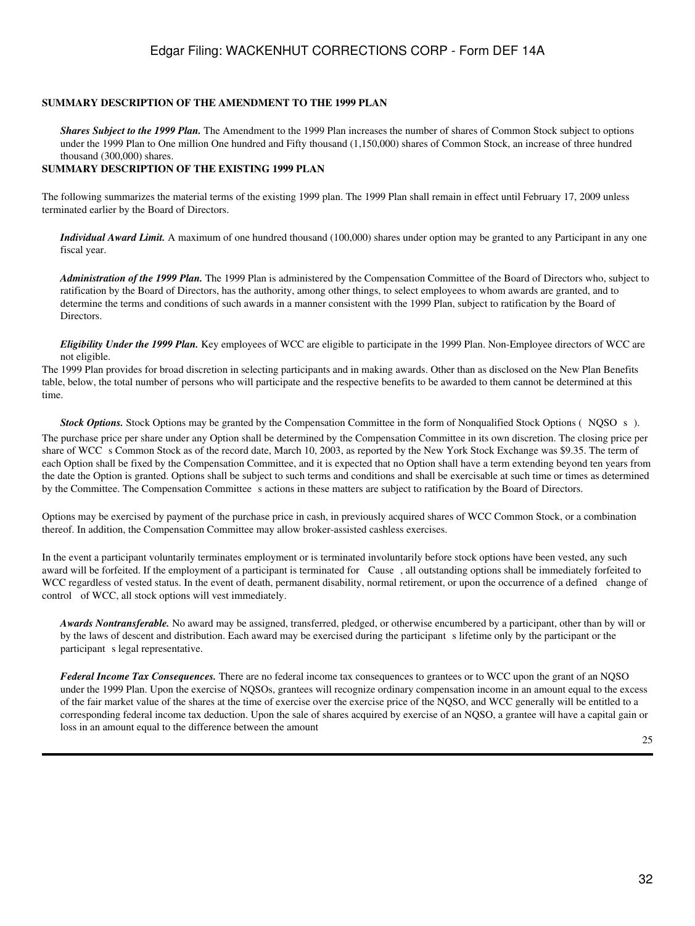#### **SUMMARY DESCRIPTION OF THE AMENDMENT TO THE 1999 PLAN**

*Shares Subject to the 1999 Plan.* The Amendment to the 1999 Plan increases the number of shares of Common Stock subject to options under the 1999 Plan to One million One hundred and Fifty thousand (1,150,000) shares of Common Stock, an increase of three hundred thousand (300,000) shares.

#### **SUMMARY DESCRIPTION OF THE EXISTING 1999 PLAN**

The following summarizes the material terms of the existing 1999 plan. The 1999 Plan shall remain in effect until February 17, 2009 unless terminated earlier by the Board of Directors.

*Individual Award Limit.* A maximum of one hundred thousand (100,000) shares under option may be granted to any Participant in any one fiscal year.

*Administration of the 1999 Plan.* The 1999 Plan is administered by the Compensation Committee of the Board of Directors who, subject to ratification by the Board of Directors, has the authority, among other things, to select employees to whom awards are granted, and to determine the terms and conditions of such awards in a manner consistent with the 1999 Plan, subject to ratification by the Board of Directors.

*Eligibility Under the 1999 Plan.* Key employees of WCC are eligible to participate in the 1999 Plan. Non-Employee directors of WCC are not eligible.

The 1999 Plan provides for broad discretion in selecting participants and in making awards. Other than as disclosed on the New Plan Benefits table, below, the total number of persons who will participate and the respective benefits to be awarded to them cannot be determined at this time.

*Stock Options.* Stock Options may be granted by the Compensation Committee in the form of Nonqualified Stock Options (NQSO s).

The purchase price per share under any Option shall be determined by the Compensation Committee in its own discretion. The closing price per share of WCC s Common Stock as of the record date, March 10, 2003, as reported by the New York Stock Exchange was \$9.35. The term of each Option shall be fixed by the Compensation Committee, and it is expected that no Option shall have a term extending beyond ten years from the date the Option is granted. Options shall be subject to such terms and conditions and shall be exercisable at such time or times as determined by the Committee. The Compensation Committee s actions in these matters are subject to ratification by the Board of Directors.

Options may be exercised by payment of the purchase price in cash, in previously acquired shares of WCC Common Stock, or a combination thereof. In addition, the Compensation Committee may allow broker-assisted cashless exercises.

In the event a participant voluntarily terminates employment or is terminated involuntarily before stock options have been vested, any such award will be forfeited. If the employment of a participant is terminated for Cause, all outstanding options shall be immediately forfeited to WCC regardless of vested status. In the event of death, permanent disability, normal retirement, or upon the occurrence of a defined change of control of WCC, all stock options will vest immediately.

*Awards Nontransferable.* No award may be assigned, transferred, pledged, or otherwise encumbered by a participant, other than by will or by the laws of descent and distribution. Each award may be exercised during the participant s lifetime only by the participant or the participant s legal representative.

*Federal Income Tax Consequences.* There are no federal income tax consequences to grantees or to WCC upon the grant of an NQSO under the 1999 Plan. Upon the exercise of NQSOs, grantees will recognize ordinary compensation income in an amount equal to the excess of the fair market value of the shares at the time of exercise over the exercise price of the NQSO, and WCC generally will be entitled to a corresponding federal income tax deduction. Upon the sale of shares acquired by exercise of an NQSO, a grantee will have a capital gain or loss in an amount equal to the difference between the amount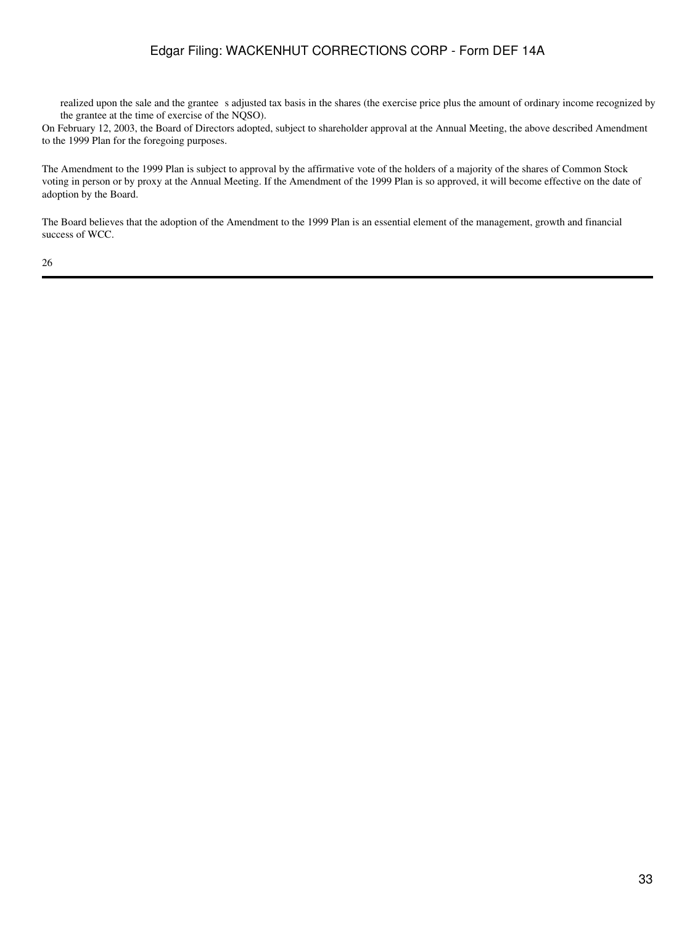realized upon the sale and the grantee s adjusted tax basis in the shares (the exercise price plus the amount of ordinary income recognized by the grantee at the time of exercise of the NQSO).

On February 12, 2003, the Board of Directors adopted, subject to shareholder approval at the Annual Meeting, the above described Amendment to the 1999 Plan for the foregoing purposes.

The Amendment to the 1999 Plan is subject to approval by the affirmative vote of the holders of a majority of the shares of Common Stock voting in person or by proxy at the Annual Meeting. If the Amendment of the 1999 Plan is so approved, it will become effective on the date of adoption by the Board.

The Board believes that the adoption of the Amendment to the 1999 Plan is an essential element of the management, growth and financial success of WCC.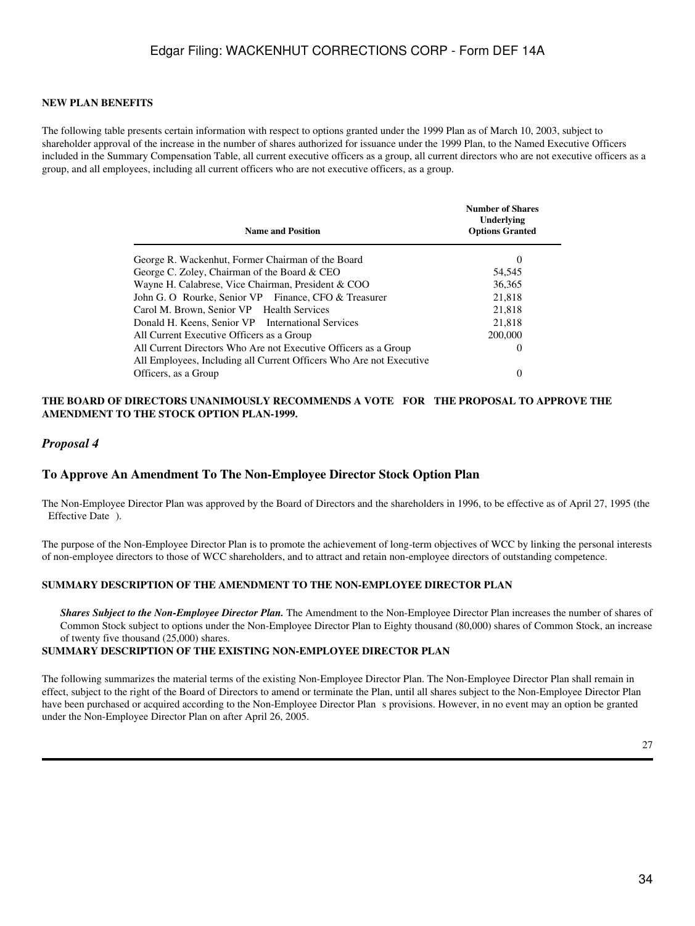#### **NEW PLAN BENEFITS**

The following table presents certain information with respect to options granted under the 1999 Plan as of March 10, 2003, subject to shareholder approval of the increase in the number of shares authorized for issuance under the 1999 Plan, to the Named Executive Officers included in the Summary Compensation Table, all current executive officers as a group, all current directors who are not executive officers as a group, and all employees, including all current officers who are not executive officers, as a group.

| <b>Name and Position</b>                                                                    | <b>Number of Shares</b><br>Underlying<br><b>Options Granted</b> |
|---------------------------------------------------------------------------------------------|-----------------------------------------------------------------|
| George R. Wackenhut, Former Chairman of the Board                                           | $\Omega$                                                        |
| George C. Zoley, Chairman of the Board & CEO                                                | 54,545                                                          |
| Wayne H. Calabrese, Vice Chairman, President & COO                                          | 36,365                                                          |
| John G. O Rourke, Senior VP Finance, CFO & Treasurer                                        | 21.818                                                          |
| Carol M. Brown, Senior VP Health Services                                                   | 21,818                                                          |
| Donald H. Keens, Senior VP International Services                                           | 21,818                                                          |
| All Current Executive Officers as a Group                                                   | 200,000                                                         |
| All Current Directors Who Are not Executive Officers as a Group                             | 0                                                               |
| All Employees, Including all Current Officers Who Are not Executive<br>Officers, as a Group | 0                                                               |

#### **THE BOARD OF DIRECTORS UNANIMOUSLY RECOMMENDS A VOTE FOR THE PROPOSAL TO APPROVE THE AMENDMENT TO THE STOCK OPTION PLAN-1999.**

#### *Proposal 4*

#### **To Approve An Amendment To The Non-Employee Director Stock Option Plan**

The Non-Employee Director Plan was approved by the Board of Directors and the shareholders in 1996, to be effective as of April 27, 1995 (the Effective Date ).

The purpose of the Non-Employee Director Plan is to promote the achievement of long-term objectives of WCC by linking the personal interests of non-employee directors to those of WCC shareholders, and to attract and retain non-employee directors of outstanding competence.

#### **SUMMARY DESCRIPTION OF THE AMENDMENT TO THE NON-EMPLOYEE DIRECTOR PLAN**

**Shares Subject to the Non-Employee Director Plan.** The Amendment to the Non-Employee Director Plan increases the number of shares of Common Stock subject to options under the Non-Employee Director Plan to Eighty thousand (80,000) shares of Common Stock, an increase of twenty five thousand (25,000) shares.

#### **SUMMARY DESCRIPTION OF THE EXISTING NON-EMPLOYEE DIRECTOR PLAN**

The following summarizes the material terms of the existing Non-Employee Director Plan. The Non-Employee Director Plan shall remain in effect, subject to the right of the Board of Directors to amend or terminate the Plan, until all shares subject to the Non-Employee Director Plan have been purchased or acquired according to the Non-Employee Director Plan s provisions. However, in no event may an option be granted under the Non-Employee Director Plan on after April 26, 2005.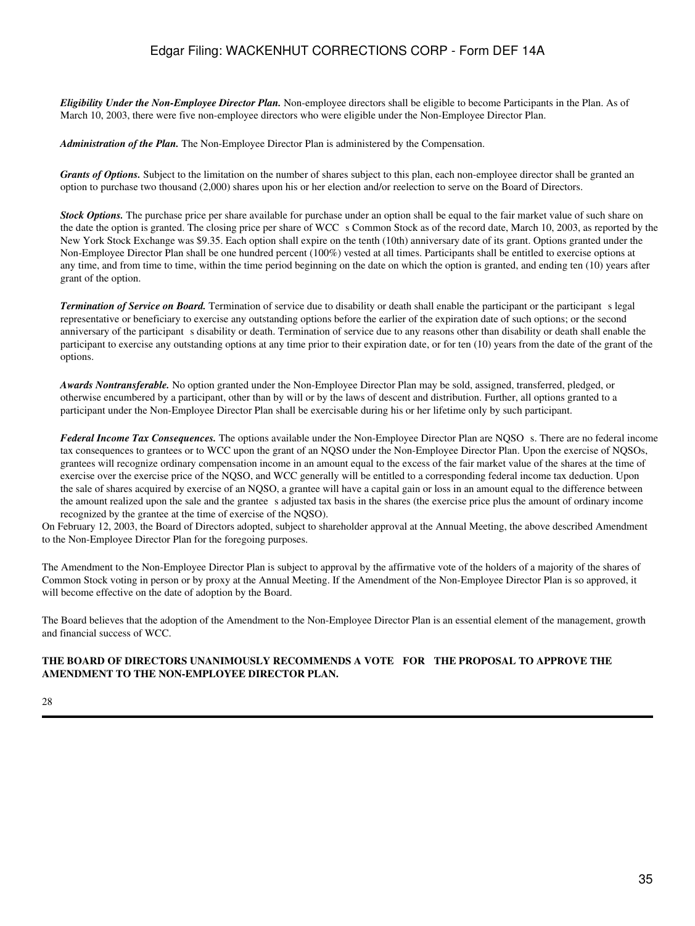*Eligibility Under the Non-Employee Director Plan.* Non-employee directors shall be eligible to become Participants in the Plan. As of March 10, 2003, there were five non-employee directors who were eligible under the Non-Employee Director Plan.

*Administration of the Plan.* The Non-Employee Director Plan is administered by the Compensation.

Grants of Options. Subject to the limitation on the number of shares subject to this plan, each non-employee director shall be granted an option to purchase two thousand (2,000) shares upon his or her election and/or reelection to serve on the Board of Directors.

**Stock Options.** The purchase price per share available for purchase under an option shall be equal to the fair market value of such share on the date the option is granted. The closing price per share of WCC s Common Stock as of the record date, March 10, 2003, as reported by the New York Stock Exchange was \$9.35. Each option shall expire on the tenth (10th) anniversary date of its grant. Options granted under the Non-Employee Director Plan shall be one hundred percent (100%) vested at all times. Participants shall be entitled to exercise options at any time, and from time to time, within the time period beginning on the date on which the option is granted, and ending ten (10) years after grant of the option.

*Termination of Service on Board.* Termination of service due to disability or death shall enable the participant or the participant s legal representative or beneficiary to exercise any outstanding options before the earlier of the expiration date of such options; or the second anniversary of the participant s disability or death. Termination of service due to any reasons other than disability or death shall enable the participant to exercise any outstanding options at any time prior to their expiration date, or for ten (10) years from the date of the grant of the options.

*Awards Nontransferable.* No option granted under the Non-Employee Director Plan may be sold, assigned, transferred, pledged, or otherwise encumbered by a participant, other than by will or by the laws of descent and distribution. Further, all options granted to a participant under the Non-Employee Director Plan shall be exercisable during his or her lifetime only by such participant.

Federal Income Tax Consequences. The options available under the Non-Employee Director Plan are NQSO s. There are no federal income tax consequences to grantees or to WCC upon the grant of an NQSO under the Non-Employee Director Plan. Upon the exercise of NQSOs, grantees will recognize ordinary compensation income in an amount equal to the excess of the fair market value of the shares at the time of exercise over the exercise price of the NQSO, and WCC generally will be entitled to a corresponding federal income tax deduction. Upon the sale of shares acquired by exercise of an NQSO, a grantee will have a capital gain or loss in an amount equal to the difference between the amount realized upon the sale and the grantee s adjusted tax basis in the shares (the exercise price plus the amount of ordinary income recognized by the grantee at the time of exercise of the NQSO).

On February 12, 2003, the Board of Directors adopted, subject to shareholder approval at the Annual Meeting, the above described Amendment to the Non-Employee Director Plan for the foregoing purposes.

The Amendment to the Non-Employee Director Plan is subject to approval by the affirmative vote of the holders of a majority of the shares of Common Stock voting in person or by proxy at the Annual Meeting. If the Amendment of the Non-Employee Director Plan is so approved, it will become effective on the date of adoption by the Board.

The Board believes that the adoption of the Amendment to the Non-Employee Director Plan is an essential element of the management, growth and financial success of WCC.

#### **THE BOARD OF DIRECTORS UNANIMOUSLY RECOMMENDS A VOTE FOR THE PROPOSAL TO APPROVE THE AMENDMENT TO THE NON-EMPLOYEE DIRECTOR PLAN.**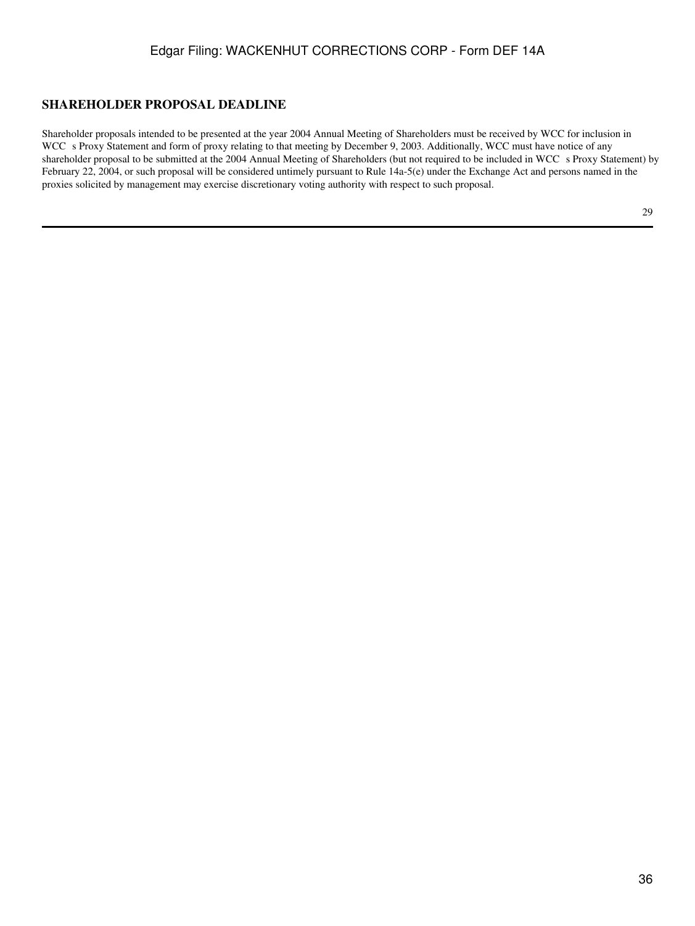## **SHAREHOLDER PROPOSAL DEADLINE**

Shareholder proposals intended to be presented at the year 2004 Annual Meeting of Shareholders must be received by WCC for inclusion in WCC s Proxy Statement and form of proxy relating to that meeting by December 9, 2003. Additionally, WCC must have notice of any shareholder proposal to be submitted at the 2004 Annual Meeting of Shareholders (but not required to be included in WCC s Proxy Statement) by February 22, 2004, or such proposal will be considered untimely pursuant to Rule 14a-5(e) under the Exchange Act and persons named in the proxies solicited by management may exercise discretionary voting authority with respect to such proposal.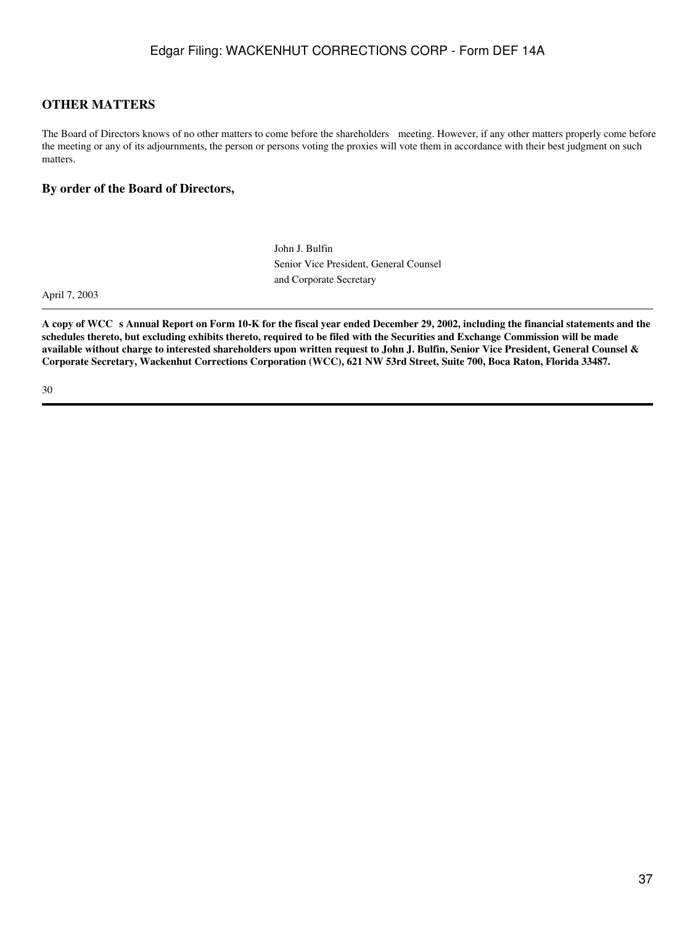## **OTHER MATTERS**

The Board of Directors knows of no other matters to come before the shareholders meeting. However, if any other matters properly come before the meeting or any of its adjournments, the person or persons voting the proxies will vote them in accordance with their best judgment on such matters.

### **By order of the Board of Directors,**

John J. Bulfin Senior Vice President, General Counsel and Corporate Secretary

April 7, 2003

A copy of WCC s Annual Report on Form 10-K for the fiscal year ended December 29, 2002, including the financial statements and the **schedules thereto, but excluding exhibits thereto, required to be filed with the Securities and Exchange Commission will be made available without charge to interested shareholders upon written request to John J. Bulfin, Senior Vice President, General Counsel & Corporate Secretary, Wackenhut Corrections Corporation (WCC), 621 NW 53rd Street, Suite 700, Boca Raton, Florida 33487.**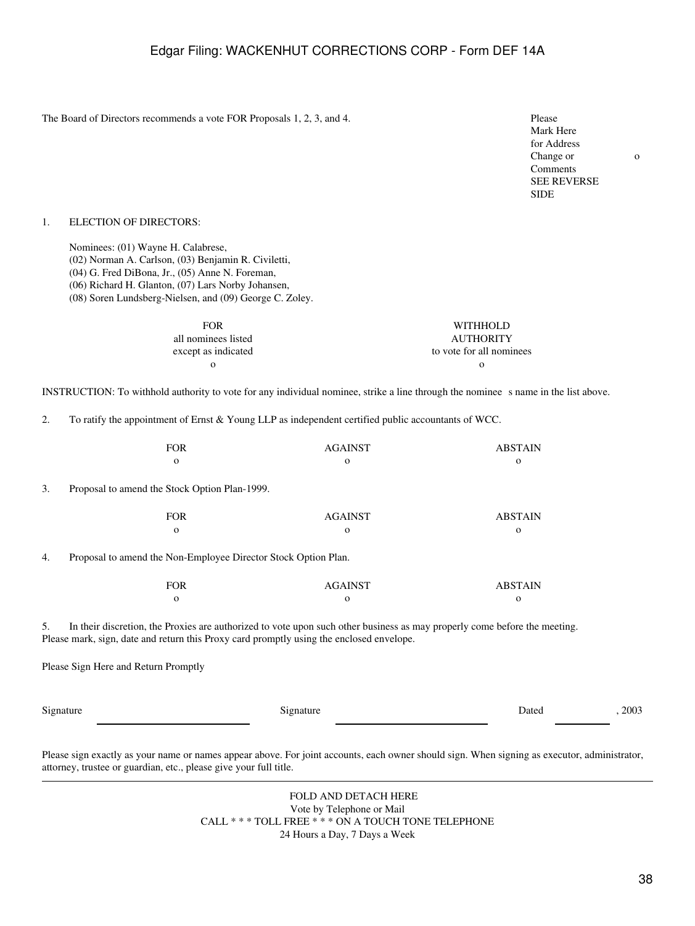The Board of Directors recommends a vote FOR Proposals 1, 2, 3, and 4. Please

Mark Here for Address Change or Comments SEE REVERSE SIDE

o

#### 1. ELECTION OF DIRECTORS:

Nominees: (01) Wayne H. Calabrese,

- (02) Norman A. Carlson, (03) Benjamin R. Civiletti,
- (04) G. Fred DiBona, Jr., (05) Anne N. Foreman,
- (06) Richard H. Glanton, (07) Lars Norby Johansen,
- (08) Soren Lundsberg-Nielsen, and (09) George C. Zoley.

| <b>FOR</b>          | <b>WITHHOLD</b>          |
|---------------------|--------------------------|
| all nominees listed | <b>AUTHORITY</b>         |
| except as indicated | to vote for all nominees |
| ∩                   |                          |

INSTRUCTION: To withhold authority to vote for any individual nominee, strike a line through the nominees name in the list above.

2. To ratify the appointment of Ernst & Young LLP as independent certified public accountants of WCC.

| FOR | AGAINST | <b>ABSTAIN</b> |
|-----|---------|----------------|
|     |         |                |

3. Proposal to amend the Stock Option Plan-1999.

| FOR      | <b>AGAINST</b> | <b>ABSTAIN</b> |
|----------|----------------|----------------|
| $\Omega$ |                |                |

4. Proposal to amend the Non-Employee Director Stock Option Plan.

| FOR | <b>AGAINST</b> | <b>ABSTAIN</b> |
|-----|----------------|----------------|
|     |                |                |

5. In their discretion, the Proxies are authorized to vote upon such other business as may properly come before the meeting. Please mark, sign, date and return this Proxy card promptly using the enclosed envelope.

Please Sign Here and Return Promptly

Signature Dated , 2003

Please sign exactly as your name or names appear above. For joint accounts, each owner should sign. When signing as executor, administrator, attorney, trustee or guardian, etc., please give your full title.

> FOLD AND DETACH HERE Vote by Telephone or Mail CALL \* \* \* TOLL FREE \* \* \* ON A TOUCH TONE TELEPHONE 24 Hours a Day, 7 Days a Week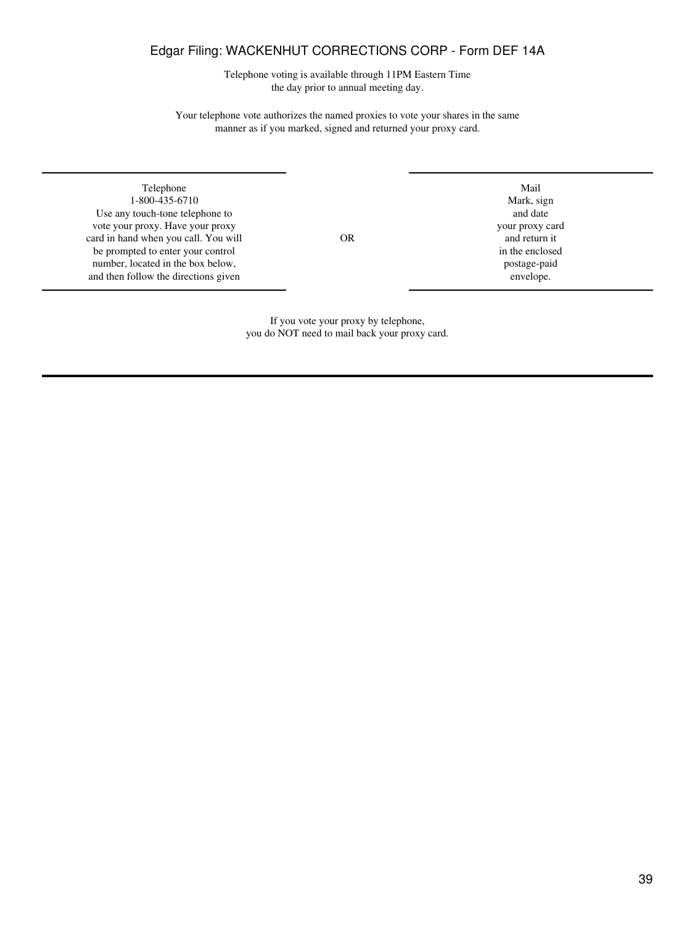Telephone voting is available through 11PM Eastern Time the day prior to annual meeting day.

Your telephone vote authorizes the named proxies to vote your shares in the same manner as if you marked, signed and returned your proxy card.

Telephone Mail 1-800-435-6710 Mark, sign Mark, sign Mark, sign Mark, sign Mark, sign Mark, sign Mark, sign Mark, sign Mark, sign Mark, sign Mark, sign Mark, sign Mark, sign Mark, sign Mark, sign Mark, sign Mark, sign Mark, sign Mark, sig Use any touch-tone telephone to and date any touch-tone telephone to and date and date and date and date and date and date and date and date and date and date and date and date and  $\frac{1}{2}$  was pointed and date and date a vote your proxy. Have your proxy your proxy card in hand when you call. You will variable of  $OR$  and return it card in hand when you call. You will **OR** and return it be prompted to enter your control be prompted to enter your control in the enclosed in the enclosed number, located in the box below, postage-paid number, located in the box below, postage-paid then follow the directions given and then follow the directions given

If you vote your proxy by telephone, you do NOT need to mail back your proxy card.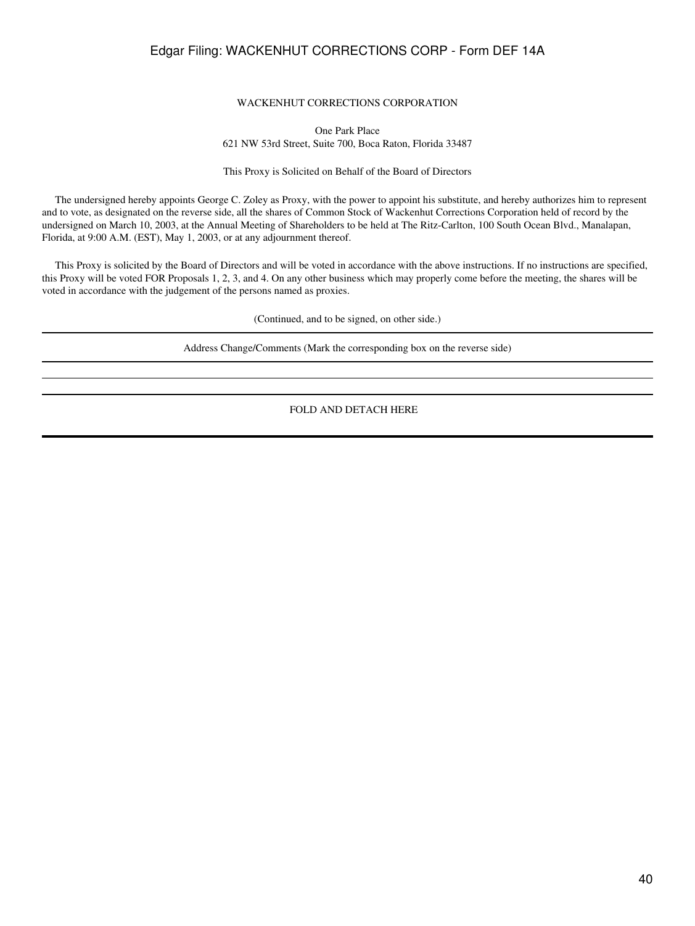#### WACKENHUT CORRECTIONS CORPORATION

One Park Place 621 NW 53rd Street, Suite 700, Boca Raton, Florida 33487

This Proxy is Solicited on Behalf of the Board of Directors

 The undersigned hereby appoints George C. Zoley as Proxy, with the power to appoint his substitute, and hereby authorizes him to represent and to vote, as designated on the reverse side, all the shares of Common Stock of Wackenhut Corrections Corporation held of record by the undersigned on March 10, 2003, at the Annual Meeting of Shareholders to be held at The Ritz-Carlton, 100 South Ocean Blvd., Manalapan, Florida, at 9:00 A.M. (EST), May 1, 2003, or at any adjournment thereof.

 This Proxy is solicited by the Board of Directors and will be voted in accordance with the above instructions. If no instructions are specified, this Proxy will be voted FOR Proposals 1, 2, 3, and 4. On any other business which may properly come before the meeting, the shares will be voted in accordance with the judgement of the persons named as proxies.

(Continued, and to be signed, on other side.)

Address Change/Comments (Mark the corresponding box on the reverse side)

FOLD AND DETACH HERE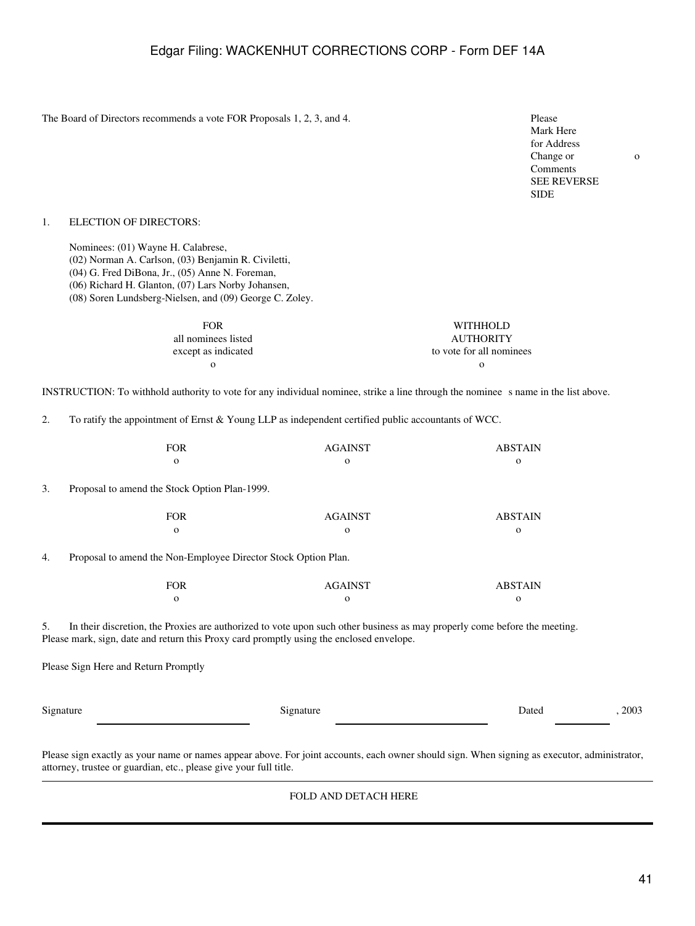The Board of Directors recommends a vote FOR Proposals 1, 2, 3, and 4. Please

Mark Here for Address Change or Comments SEE REVERSE SIDE

o

#### 1. ELECTION OF DIRECTORS:

Nominees: (01) Wayne H. Calabrese,

- (02) Norman A. Carlson, (03) Benjamin R. Civiletti,
- (04) G. Fred DiBona, Jr., (05) Anne N. Foreman,
- (06) Richard H. Glanton, (07) Lars Norby Johansen,
- (08) Soren Lundsberg-Nielsen, and (09) George C. Zoley.

| <b>FOR</b>          | WITHHOLD                 |
|---------------------|--------------------------|
| all nominees listed | <b>AUTHORITY</b>         |
| except as indicated | to vote for all nominees |
| $\Omega$            |                          |

INSTRUCTION: To withhold authority to vote for any individual nominee, strike a line through the nominees name in the list above.

2. To ratify the appointment of Ernst & Young LLP as independent certified public accountants of WCC.

| <b>FOR</b> | AGAINST | <b>ABSTAIN</b> |
|------------|---------|----------------|
|            |         |                |

3. Proposal to amend the Stock Option Plan-1999.

| FOR      | AGAINST | <b>ABSTAIN</b> |
|----------|---------|----------------|
| $\Omega$ |         |                |

4. Proposal to amend the Non-Employee Director Stock Option Plan.

| FOR | <b>AGAINST</b> | <b>ABSTAIN</b> |
|-----|----------------|----------------|
|     |                |                |

5. In their discretion, the Proxies are authorized to vote upon such other business as may properly come before the meeting. Please mark, sign, date and return this Proxy card promptly using the enclosed envelope.

Please Sign Here and Return Promptly

Signature Dated , 2003

Please sign exactly as your name or names appear above. For joint accounts, each owner should sign. When signing as executor, administrator, attorney, trustee or guardian, etc., please give your full title.

#### FOLD AND DETACH HERE